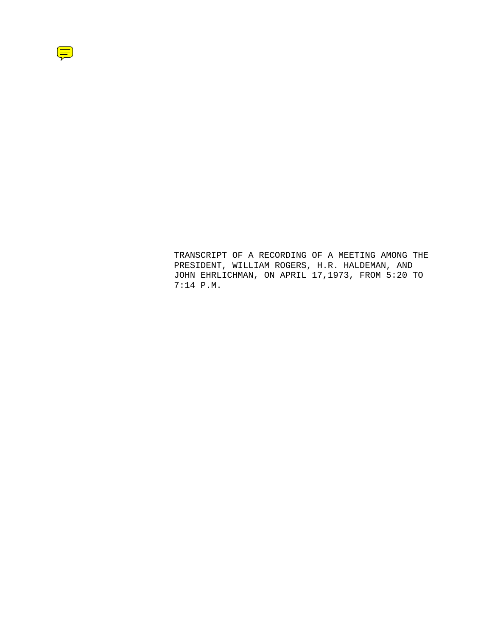

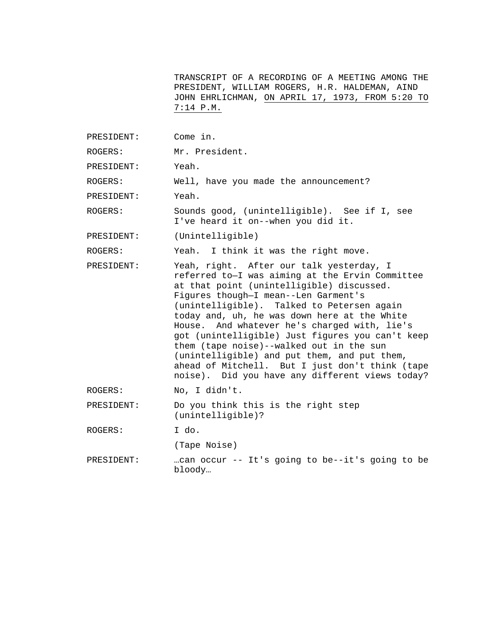TRANSCRIPT OF A RECORDING OF A MEETING AMONG THE PRESIDENT, WILLIAM ROGERS, H.R. HALDEMAN, AIND JOHN EHRLICHMAN, ON APRIL 17, 1973, FROM 5:20 TO 7:14 P.M.

- PRESIDENT: Come in.
- ROGERS: Mr. President.

PRESIDENT: Yeah.

ROGERS: Well, have you made the announcement?

PRESIDENT: Yeah.

ROGERS: Sounds good, (unintelligible). See if I, see I've heard it on--when you did it.

PRESIDENT: (Unintelligible)

ROGERS: Yeah. I think it was the right move.

PRESIDENT: Yeah, right. After our talk yesterday, I referred to—I was aiming at the Ervin Committee at that point (unintelligible) discussed. Figures though—I mean--Len Garment's (unintelligible). Talked to Petersen again today and, uh, he was down here at the White House. And whatever he's charged with, lie's got (unintelligible) Just figures you can't keep them (tape noise)--walked out in the sun (unintelligible) and put them, and put them, ahead of Mitchell. But I just don't think (tape noise). Did you have any different views today?

ROGERS: No, I didn't.

PRESIDENT: Do you think this is the right step (unintelligible)?

ROGERS: I do.

(Tape Noise)

PRESIDENT: …can occur -- It's going to be--it's going to be bloody…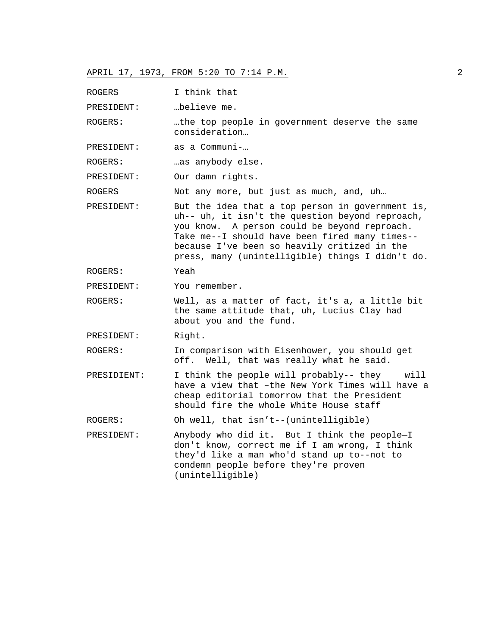| ROGERS      | I think that                                                                                                                                                                                                                                                                                              |
|-------------|-----------------------------------------------------------------------------------------------------------------------------------------------------------------------------------------------------------------------------------------------------------------------------------------------------------|
| PRESIDENT:  | "believe me.                                                                                                                                                                                                                                                                                              |
| ROGERS:     | .the top people in government deserve the same<br>consideration                                                                                                                                                                                                                                           |
| PRESIDENT:  | as a Communi-…                                                                                                                                                                                                                                                                                            |
| ROGERS:     | as anybody else.                                                                                                                                                                                                                                                                                          |
| PRESIDENT:  | Our damn rights.                                                                                                                                                                                                                                                                                          |
| ROGERS      | Not any more, but just as much, and, uh                                                                                                                                                                                                                                                                   |
| PRESIDENT:  | But the idea that a top person in government is,<br>uh-- uh, it isn't the question beyond reproach,<br>you know. A person could be beyond reproach.<br>Take me--I should have been fired many times--<br>because I've been so heavily critized in the<br>press, many (unintelligible) things I didn't do. |
| ROGERS:     | Yeah                                                                                                                                                                                                                                                                                                      |
| PRESIDENT:  | You remember.                                                                                                                                                                                                                                                                                             |
| ROGERS:     | Well, as a matter of fact, it's a, a little bit<br>the same attitude that, uh, Lucius Clay had<br>about you and the fund.                                                                                                                                                                                 |
| PRESIDENT:  | Right.                                                                                                                                                                                                                                                                                                    |
| ROGERS:     | In comparison with Eisenhower, you should get<br>Well, that was really what he said.<br>off.                                                                                                                                                                                                              |
| PRESIDIENT: | I think the people will probably-- they will<br>have a view that -the New York Times will have a<br>cheap editorial tomorrow that the President<br>should fire the whole White House staff                                                                                                                |
| ROGERS:     | Oh well, that isn't--(unintelligible)                                                                                                                                                                                                                                                                     |
| PRESIDENT:  | Anybody who did it. But I think the people-I<br>don't know, correct me if I am wrong, I think<br>they'd like a man who'd stand up to--not to<br>condemn people before they're proven<br>(unintelligible)                                                                                                  |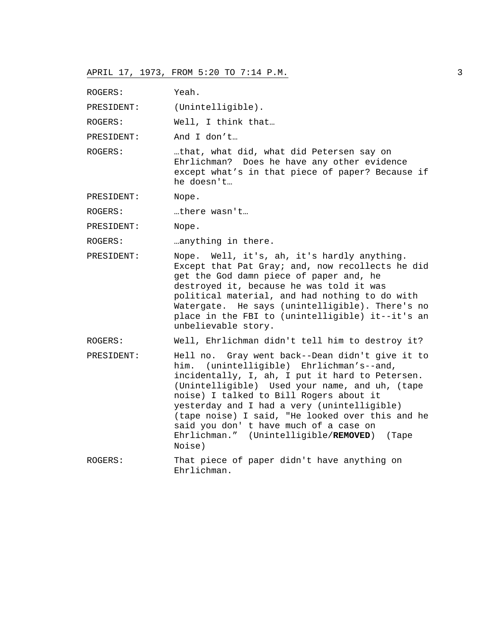ROGERS: Yeah.

PRESIDENT: (Unintelligible).

ROGERS: Well, I think that…

PRESIDENT: And I don't…

ROGERS: …that, what did, what did Petersen say on Ehrlichman? Does he have any other evidence except what's in that piece of paper? Because if he doesn't…

PRESIDENT: Nope.

ROGERS: …there wasn't…

PRESIDENT: Nope.

ROGERS: …anything in there.

PRESIDENT: Nope. Well, it's, ah, it's hardly anything. Except that Pat Gray; and, now recollects he did get the God damn piece of paper and, he destroyed it, because he was told it was political material, and had nothing to do with Watergate. He says (unintelligible). There's no place in the FBI to (unintelligible) it--it's an unbelievable story.

ROGERS: Well, Ehrlichman didn't tell him to destroy it?

PRESIDENT: Hell no. Gray went back--Dean didn't give it to him. (unintelligible) Ehrlichman's--and, incidentally, I, ah, I put it hard to Petersen. (Unintelligible) Used your name, and uh, (tape noise) I talked to Bill Rogers about it yesterday and I had a very (unintelligible) (tape noise) I said, "He looked over this and he said you don' t have much of a case on Ehrlichman." (Unintelligible/**REMOVED**) (Tape Noise)

ROGERS: That piece of paper didn't have anything on Ehrlichman.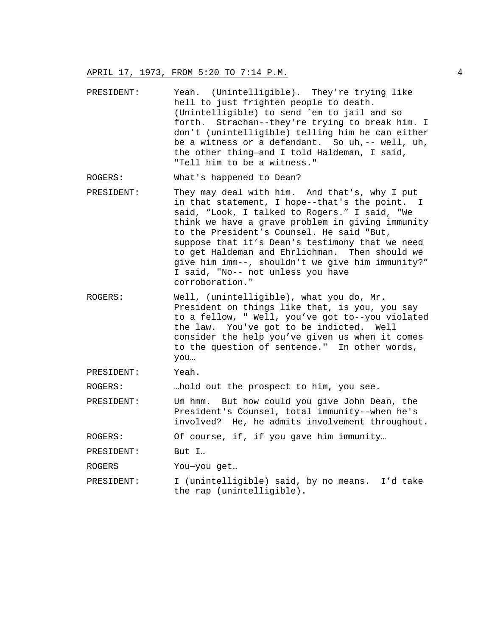- PRESIDENT: Yeah. (Unintelligible). They're trying like hell to just frighten people to death. (Unintelligible) to send `em to jail and so forth. Strachan--they're trying to break him. I don't (unintelligible) telling him he can either be a witness or a defendant. So uh,-- well, uh, the other thing—and I told Haldeman, I said, "Tell him to be a witness."
- ROGERS: What's happened to Dean?
- PRESIDENT: They may deal with him. And that's, why I put in that statement, I hope--that's the point. I said, "Look, I talked to Rogers." I said, "We think we have a grave problem in giving immunity to the President's Counsel. He said "But, suppose that it's Dean's testimony that we need to get Haldeman and Ehrlichman. Then should we give him imm--, shouldn't we give him immunity?" I said, "No-- not unless you have corroboration."
- ROGERS: Well, (unintelligible), what you do, Mr. President on things like that, is you, you say to a fellow, " Well, you've got to--you violated the law. You've got to be indicted. Well consider the help you've given us when it comes to the question of sentence." In other words, you…
- PRESIDENT: Yeah.

ROGERS: …hold out the prospect to him, you see.

PRESIDENT: Um hmm. But how could you give John Dean, the President's Counsel, total immunity--when he's involved? He, he admits involvement throughout.

ROGERS: Of course, if, if you gave him immunity…

PRESIDENT: But I...

ROGERS You—you get…

PRESIDENT: I (unintelligible) said, by no means. I'd take the rap (unintelligible).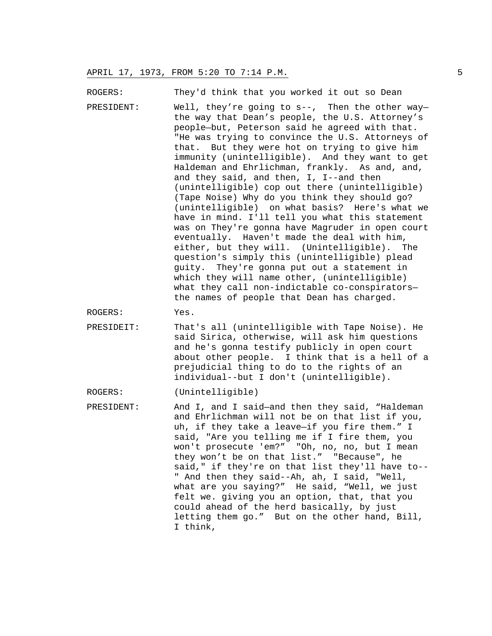ROGERS: They'd think that you worked it out so Dean

PRESIDENT: Well, they're going to s--, Then the other way the way that Dean's people, the U.S. Attorney's people—but, Peterson said he agreed with that. "He was trying to convince the U.S. Attorneys of that. But they were hot on trying to give him immunity (unintelligible). And they want to get Haldeman and Ehrlichman, frankly. As and, and, and they said, and then, I, I--and then (unintelligible) cop out there (unintelligible) (Tape Noise) Why do you think they should go? (unintelligible) on what basis? Here's what we have in mind. I'll tell you what this statement was on They're gonna have Magruder in open court eventually. Haven't made the deal with him, either, but they will. (Unintelligible). The question's simply this (unintelligible) plead guity. They're gonna put out a statement in which they will name other, (unintelligible) what they call non-indictable co-conspirators the names of people that Dean has charged.

ROGERS: Yes.

PRESIDEIT: That's all (unintelligible with Tape Noise). He said Sirica, otherwise, will ask him questions and he's gonna testify publicly in open court about other people. I think that is a hell of a prejudicial thing to do to the rights of an individual--but I don't (unintelligible).

ROGERS: (Unintelligible)

PRESIDENT: And I, and I said—and then they said, "Haldeman and Ehrlichman will not be on that list if you, uh, if they take a leave—if you fire them." I said, "Are you telling me if I fire them, you won't prosecute 'em?" "Oh, no, no, but I mean they won't be on that list." "Because", he said," if they're on that list they'll have to-- " And then they said--Ah, ah, I said, "Well, what are you saying?" He said, "Well, we just felt we. giving you an option, that, that you could ahead of the herd basically, by just letting them go." But on the other hand, Bill, I think,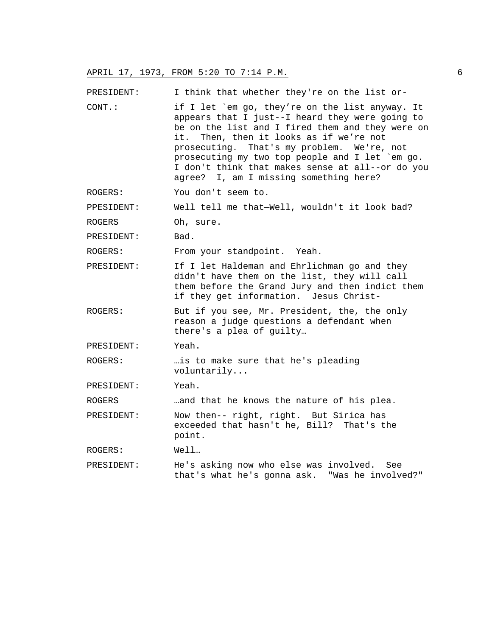PRESIDENT: I think that whether they're on the list or-CONT.: if I let `em go, they're on the list anyway. It appears that I just--I heard they were going to be on the list and I fired them and they were on

- it. Then, then it looks as if we're not prosecuting. That's my problem. We're, not prosecuting my two top people and I let `em go. I don't think that makes sense at all--or do you agree? I, am I missing something here?
- ROGERS: You don't seem to.

PPESIDENT: Well tell me that—Well, wouldn't it look bad?

ROGERS Oh, sure.

PRESIDENT: Bad.

ROGERS: From your standpoint. Yeah.

- PRESIDENT: If I let Haldeman and Ehrlichman go and they didn't have them on the list, they will call them before the Grand Jury and then indict them if they get information. Jesus Christ-
- ROGERS: But if you see, Mr. President, the, the only reason a judge questions a defendant when there's a plea of guilty…

PRESIDENT: Yeah.

ROGERS: …is to make sure that he's pleading voluntarily...

PRESIDENT: Yeah.

ROGERS …and that he knows the nature of his plea.

PRESIDENT: Now then-- right, right. But Sirica has exceeded that hasn't he, Bill? That's the point.

ROGERS: Well…

PRESIDENT: He's asking now who else was involved. See that's what he's gonna ask. "Was he involved?"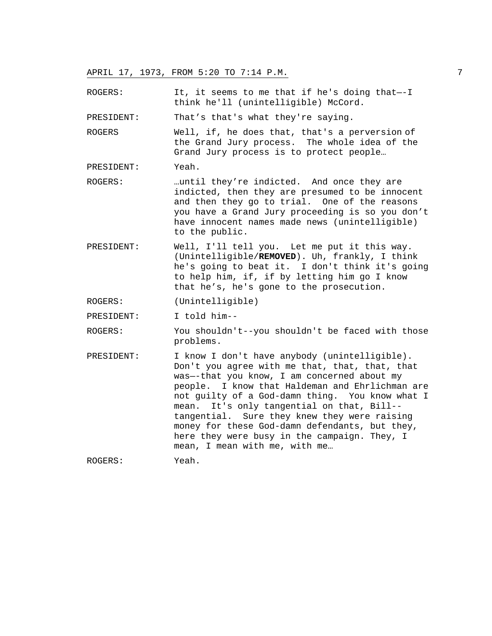ROGERS: It, it seems to me that if he's doing that—-I think he'll (unintelligible) McCord.

PRESIDENT: That's that's what they're saying.

ROGERS Well, if, he does that, that's a perversion of the Grand Jury process. The whole idea of the Grand Jury process is to protect people…

PRESIDENT: Yeah.

- ROGERS: …until they're indicted. And once they are indicted, then they are presumed to be innocent and then they go to trial. One of the reasons you have a Grand Jury proceeding is so you don't have innocent names made news (unintelligible) to the public.
- PRESIDENT: Well, I'll tell you. Let me put it this way. (Unintelligible/**REMOVED**). Uh, frankly, I think he's going to beat it. I don't think it's going to help him, if, if by letting him go I know that he's, he's gone to the prosecution.

ROGERS: (Unintelligible)

PRESIDENT: I told him--

ROGERS: You shouldn't--you shouldn't be faced with those problems.

PRESIDENT: I know I don't have anybody (unintelligible). Don't you agree with me that, that, that, that was—-that you know, I am concerned about my people. I know that Haldeman and Ehrlichman are not guilty of a God-damn thing. You know what I mean. It's only tangential on that, Bill- tangential. Sure they knew they were raising money for these God-damn defendants, but they, here they were busy in the campaign. They, I mean, I mean with me, with me…

ROGERS: Yeah.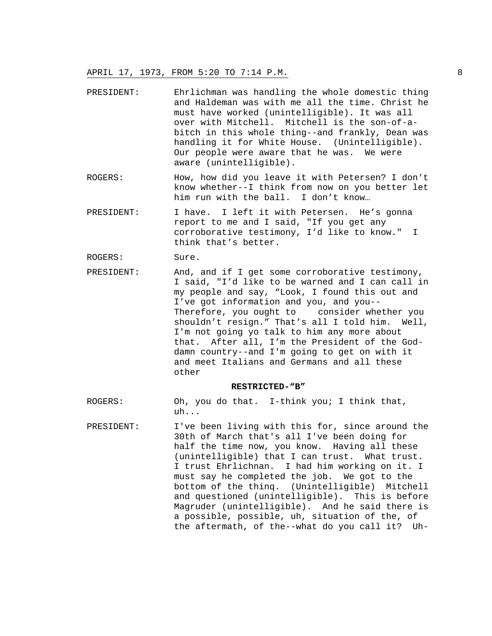- PRESIDENT: Ehrlichman was handling the whole domestic thing and Haldeman was with me all the time. Christ he must have worked (unintelligible). It was all over with Mitchell. Mitchell is the son-of-abitch in this whole thing--and frankly, Dean was handling it for White House. (Unintelligible). Our people were aware that he was. We were aware (unintelligible).
- ROGERS: How, how did you leave it with Petersen? I don't know whether--I think from now on you better let him run with the ball. I don't know…
- PRESIDENT: I have. I left it with Petersen. He's gonna report to me and I said, "If you get any corroborative testimony, I'd like to know." I think that's better.
- ROGERS: Sure.
- PRESIDENT: And, and if I get some corroborative testimony, I said, "I'd like to be warned and I can call in my people and say, "Look, I found this out and I've got information and you, and you-- Therefore, you ought to consider whether you shouldn't resign." That's all I told him. Well, I'm not going yo talk to him any more about that. After all, I'm the President of the Goddamn country--and I'm going to get on with it and meet Italians and Germans and all these other

#### **RESTRICTED-"B"**

- ROGERS: Oh, you do that. I-think you; I think that, uh...
- PRESIDENT: I've been living with this for, since around the 30th of March that's all I've been doing for half the time now, you know. Having all these (unintelligible) that I can trust. What trust. I trust Ehrlichnan. I had him working on it. I must say he completed the job. We got to the bottom of the thinq. (Unintelligible) Mitchell and questioned (unintelligible). This is before Magruder (unintelligible). And he said there is a possible, possible, uh, situation of the, of the aftermath, of the--what do you call it? Uh-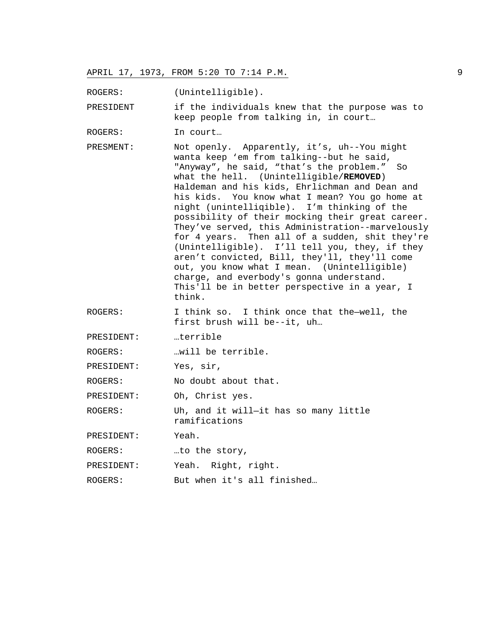ROGERS: (Unintelligible).

PRESIDENT if the individuals knew that the purpose was to keep people from talking in, in court…

ROGERS: In court…

- PRESMENT: Not openly. Apparently, it's, uh--You might wanta keep 'em from talking--but he said, "Anyway", he said, "that's the problem." So what the hell. (Unintelligible/**REMOVED**) Haldeman and his kids, Ehrlichman and Dean and his kids. You know what I mean? You go home at night (unintelliqible). I'm thinking of the possibility of their mocking their great career. They've served, this Administration--marvelously for 4 years. Then all of a sudden, shit they're (Unintelligible). I'll tell you, they, if they aren't convicted, Bill, they'll, they'll come out, you know what I mean. (Unintelligible) charge, and everbody's gonna understand. This'll be in better perspective in a year, I think.
- ROGERS: I think so. I think once that the—well, the first brush will be--it, uh…

PRESIDENT: …terrible

ROGERS: …will be terrible.

PRESIDENT: Yes, sir,

ROGERS: No doubt about that.

PRESIDENT: Oh, Christ yes.

ROGERS: Uh, and it will—it has so many little ramifications

PRESIDENT: Yeah.

ROGERS: …to the story,

PRESIDENT: Yeah. Right, right.

ROGERS: But when it's all finished...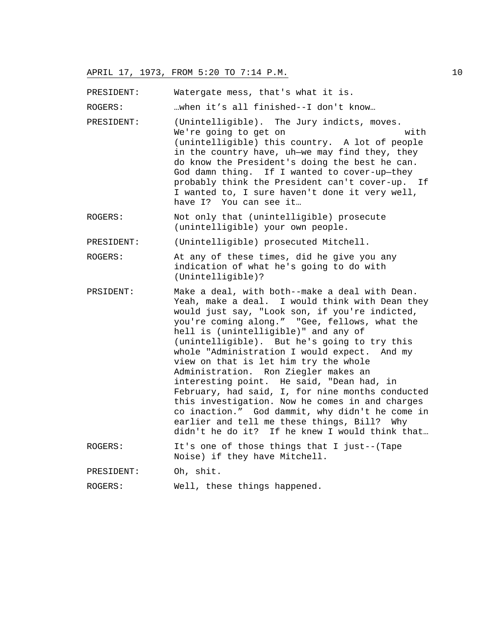PRESIDENT: Watergate mess, that's what it is.

ROGERS: …when it's all finished--I don't know…

- PRESIDENT: (Unintelligible). The Jury indicts, moves. We're going to get on with (unintelligible) this country. A lot of people in the country have, uh—we may find they, they do know the President's doing the best he can. God damn thing. If I wanted to cover-up—they probably think the President can't cover-up. If I wanted to, I sure haven't done it very well, have I? You can see it…
- ROGERS: Not only that (unintelligible) prosecute (unintelligible) your own people.

PRESIDENT: (Unintelligible) prosecuted Mitchell.

ROGERS: At any of these times, did he give you any indication of what he's going to do with (Unintelligible)?

PRSIDENT: Make a deal, with both--make a deal with Dean. Yeah, make a deal. I would think with Dean they would just say, "Look son, if you're indicted, you're coming along." "Gee, fellows, what the hell is (unintelligible)" and any of (unintelligible). But he's going to try this whole "Administration I would expect. And my view on that is let him try the whole Administration. Ron Ziegler makes an interesting point. He said, "Dean had, in February, had said, I, for nine months conducted this investigation. Now he comes in and charges co inaction." God dammit, why didn't he come in earlier and tell me these things, Bill? Why didn't he do it? If he knew I would think that…

ROGERS: It's one of those things that I just--(Tape Noise) if they have Mitchell.

PRESIDENT: Oh, shit.

```
ROGERS: Well, these things happened.
```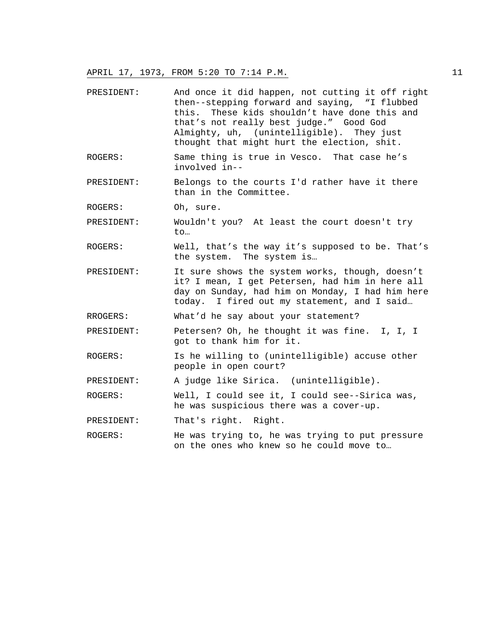- PRESIDENT: And once it did happen, not cutting it off right then--stepping forward and saying, "I flubbed this. These kids shouldn't have done this and that's not really best judge." Good God Almighty, uh, (unintelligible). They just thought that might hurt the election, shit. ROGERS: Same thing is true in Vesco. That case he's involved in-- PRESIDENT: Belongs to the courts I'd rather have it there than in the Committee. ROGERS: Oh, sure. PRESIDENT: Wouldn't you? At least the court doesn't try to… ROGERS: Well, that's the way it's supposed to be. That's the system. The system is… PRESIDENT: It sure shows the system works, though, doesn't it? I mean, I get Petersen, had him in here all day on Sunday, had him on Monday, I had him here today. I fired out my statement, and I said… RROGERS: What'd he say about your statement? PRESIDENT: Petersen? Oh, he thought it was fine. I, I, I got to thank him for it. ROGERS: Is he willing to (unintelligible) accuse other people in open court? PRESIDENT: A judge like Sirica. (unintelligible). ROGERS: Well, I could see it, I could see--Sirica was, he was suspicious there was a cover-up. PRESIDENT: That's right. Right. ROGERS: He was trying to, he was trying to put pressure
- on the ones who knew so he could move to…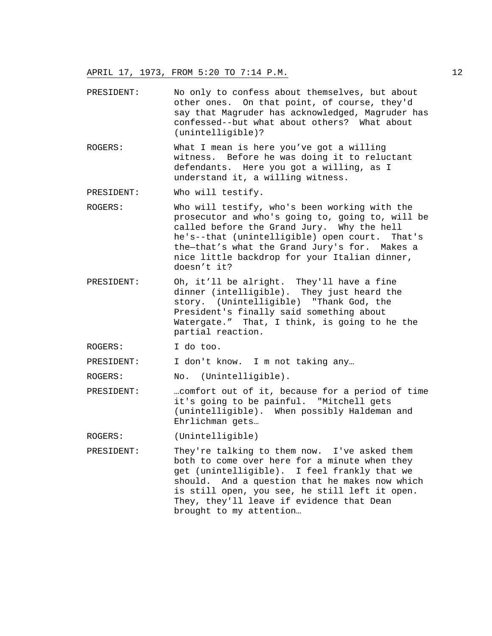- PRESIDENT: No only to confess about themselves, but about other ones. On that point, of course, they'd say that Magruder has acknowledged, Magruder has confessed--but what about others? What about (unintelligible)?
- ROGERS: What I mean is here you've got a willing witness. Before he was doing it to reluctant defendants. Here you got a willing, as I understand it, a willing witness.
- PRESIDENT: Who will testify.
- ROGERS: Who will testify, who's been working with the prosecutor and who's going to, going to, will be called before the Grand Jury. Why the hell he's--that (unintelligible) open court. That's the—that's what the Grand Jury's for. Makes a nice little backdrop for your Italian dinner, doesn't it?
- PRESIDENT: Oh, it'll be alright. They'll have a fine dinner (intelligible). They just heard the story. (Unintelligible) "Thank God, the President's finally said something about Watergate." That, I think, is going to he the partial reaction.

ROGERS: I do too.

PRESIDENT: I don't know. I m not taking any...

ROGERS: No. (Unintelligible).

PRESIDENT: …comfort out of it, because for a period of time it's going to be painful. "Mitchell gets (unintelligible). When possibly Haldeman and Ehrlichman gets…

ROGERS: (Unintelligible)

PRESIDENT: They're talking to them now. I've asked them both to come over here for a minute when they get (unintelligible). I feel frankly that we should. And a question that he makes now which is still open, you see, he still left it open. They, they'll leave if evidence that Dean brought to my attention…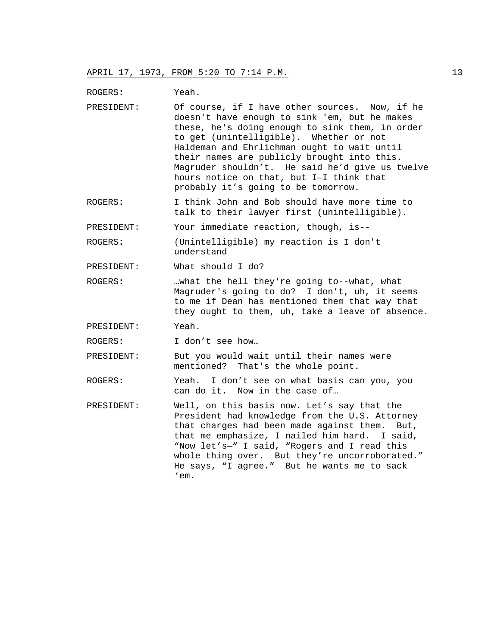ROGERS: Yeah.

- PRESIDENT: Of course, if I have other sources. Now, if he doesn't have enough to sink 'em, but he makes these, he's doing enough to sink them, in order to get (unintelligible). Whether or not Haldeman and Ehrlichman ought to wait until their names are publicly brought into this. Magruder shouldn't. He said he'd give us twelve hours notice on that, but I—I think that probably it's going to be tomorrow.
- ROGERS: I think John and Bob should have more time to talk to their lawyer first (unintelligible).

PRESIDENT: Your immediate reaction, though, is--

ROGERS: (Unintelligible) my reaction is I don't understand

PRESIDENT: What should I do?

ROGERS: …what the hell they're going to--what, what Magruder's going to do? I don't, uh, it seems to me if Dean has mentioned them that way that they ought to them, uh, take a leave of absence.

PRESIDENT: Yeah.

ROGERS: I don't see how…

PRESIDENT: But you would wait until their names were mentioned? That's the whole point.

ROGERS: Yeah. I don't see on what basis can you, you can do it. Now in the case of…

PRESIDENT: Well, on this basis now. Let's say that the President had knowledge from the U.S. Attorney that charges had been made against them. But, that me emphasize, I nailed him hard. I said, "Now let's—" I said, "Rogers and I read this whole thing over. But they're uncorroborated." He says, "I agree." But he wants me to sack 'em.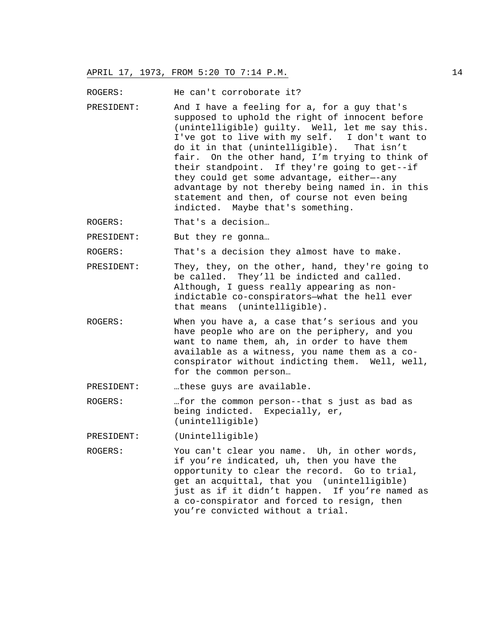ROGERS: He can't corroborate it?

- PRESIDENT: And I have a feeling for a, for a guy that's supposed to uphold the right of innocent before (unintelligible) guilty. Well, let me say this. I've got to live with my self. I don't want to<br>do it in that (unintelligible). That isn't do it in that (unintelligible). fair. On the other hand, I'm trying to think of their standpoint. If they're going to get--if they could get some advantage, either—-any advantage by not thereby being named in. in this statement and then, of course not even being indicted. Maybe that's something.
- ROGERS: That's a decision...

PRESIDENT: But they re gonna…

ROGERS: That's a decision they almost have to make.

- PRESIDENT: They, they, on the other, hand, they're going to be called. They'll be indicted and called. Although, I guess really appearing as nonindictable co-conspirators—what the hell ever that means (unintelligible).
- ROGERS: When you have a, a case that's serious and you have people who are on the periphery, and you want to name them, ah, in order to have them available as a witness, you name them as a coconspirator without indicting them. Well, well, for the common person…

PRESIDENT: …these guys are available.

ROGERS: …for the common person--that s just as bad as being indicted. Expecially, er, (unintelligible)

PRESIDENT: (Unintelligible)

ROGERS: You can't clear you name. Uh, in other words, if you're indicated, uh, then you have the opportunity to clear the record. Go to trial, get an acquittal, that you (unintelligible) just as if it didn't happen. If you're named as a co-conspirator and forced to resign, then you're convicted without a trial.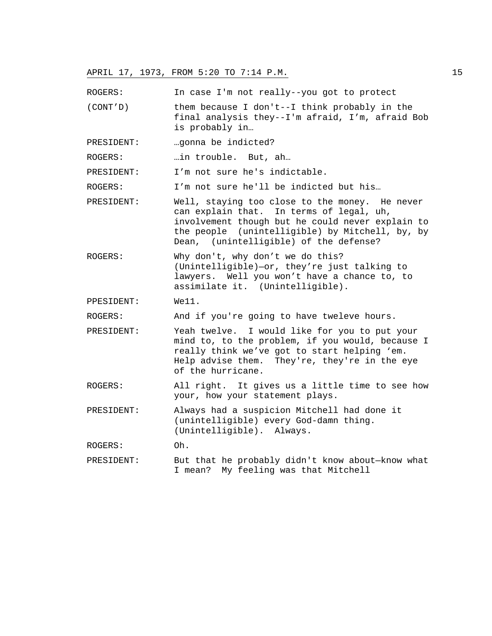ROGERS: In case I'm not really--you got to protect

- (CONT'D) them because I don't--I think probably in the final analysis they--I'm afraid, I'm, afraid Bob is probably in…
- PRESIDENT: …gonna be indicted?

ROGERS: …in trouble. But, ah…

PRESIDENT: I'm not sure he's indictable.

ROGERS: I'm not sure he'll be indicted but his...

- PRESIDENT: Well, staying too close to the money. He never can explain that. In terms of legal, uh, involvement though but he could never explain to the people (unintelligible) by Mitchell, by, by Dean, (unintelligible) of the defense?
- ROGERS: Why don't, why don't we do this? (Unintelligible)—or, they're just talking to lawyers. Well you won't have a chance to, to assimilate it. (Unintelligible).

PPESIDENT: We11.

ROGERS: And if you're going to have tweleve hours.

- PRESIDENT: Yeah twelve. I would like for you to put your mind to, to the problem, if you would, because I really think we've got to start helping 'em. Help advise them. They're, they're in the eye of the hurricane.
- ROGERS: All right. It gives us a little time to see how your, how your statement plays.
- PRESIDENT: Always had a suspicion Mitchell had done it (unintelligible) every God-damn thing. (Unintelligible). Always.
- ROGERS: Oh.
- PRESIDENT: But that he probably didn't know about—know what I mean? My feeling was that Mitchell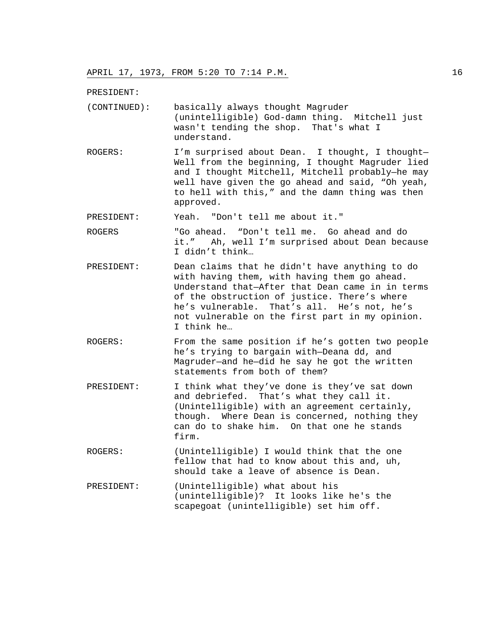PRESIDENT:

| (CONTINUED): | basically always thought Magruder              |
|--------------|------------------------------------------------|
|              | (unintelligible) God-damn thing. Mitchell just |
|              | wasn't tending the shop. That's what I         |
|              | understand.                                    |

ROGERS: I'm surprised about Dean. I thought, I thought— Well from the beginning, I thought Magruder lied and I thought Mitchell, Mitchell probably—he may well have given the go ahead and said, "Oh yeah, to hell with this," and the damn thing was then approved.

PRESIDENT: Yeah. "Don't tell me about it."

ROGERS "Go ahead. "Don't tell me. Go ahead and do it." Ah, well I'm surprised about Dean because I didn't think…

- PRESIDENT: Dean claims that he didn't have anything to do with having them, with having them go ahead. Understand that—After that Dean came in in terms of the obstruction of justice. There's where he's vulnerable. That's all. He's not, he's not vulnerable on the first part in my opinion. I think he…
- ROGERS: From the same position if he's gotten two people he's trying to bargain with—Deana dd, and Magruder—and he—did he say he got the written statements from both of them?
- PRESIDENT: I think what they've done is they've sat down and debriefed. That's what they call it. (Unintelligible) with an agreement certainly, though. Where Dean is concerned, nothing they can do to shake him. On that one he stands firm.
- ROGERS: (Unintelligible) I would think that the one fellow that had to know about this and, uh, should take a leave of absence is Dean.
- PRESIDENT: (Unintelligible) what about his (unintelligible)? It looks like he's the scapegoat (unintelligible) set him off.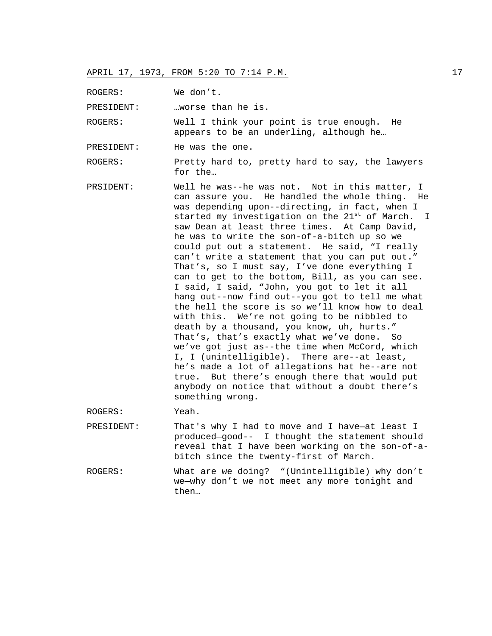ROGERS: We don't.

PRESIDENT: …worse than he is.

ROGERS: Well I think your point is true enough. He appears to be an underling, although he…

PRESIDENT: He was the one.

ROGERS: Pretty hard to, pretty hard to say, the lawyers for the…

PRSIDENT: Well he was--he was not. Not in this matter, I can assure you. He handled the whole thing. He was depending upon--directing, in fact, when I started my investigation on the 21<sup>st</sup> of March. I saw Dean at least three times. At Camp David, he was to write the son-of-a-bitch up so we could put out a statement. He said, "I really can't write a statement that you can put out." That's, so I must say, I've done everything I can to get to the bottom, Bill, as you can see. I said, I said, "John, you got to let it all hang out--now find out--you got to tell me what the hell the score is so we'll know how to deal with this. We're not going to be nibbled to death by a thousand, you know, uh, hurts." That's, that's exactly what we've done. So we've got just as--the time when McCord, which I, I (unintelligible). There are--at least, he's made a lot of allegations hat he--are not true. But there's enough there that would put anybody on notice that without a doubt there's something wrong.

ROGERS: Yeah.

- PRESIDENT: That's why I had to move and I have—at least I produced—good-- I thought the statement should reveal that I have been working on the son-of-abitch since the twenty-first of March.
- ROGERS: What are we doing? "(Unintelligible) why don't we—why don't we not meet any more tonight and then…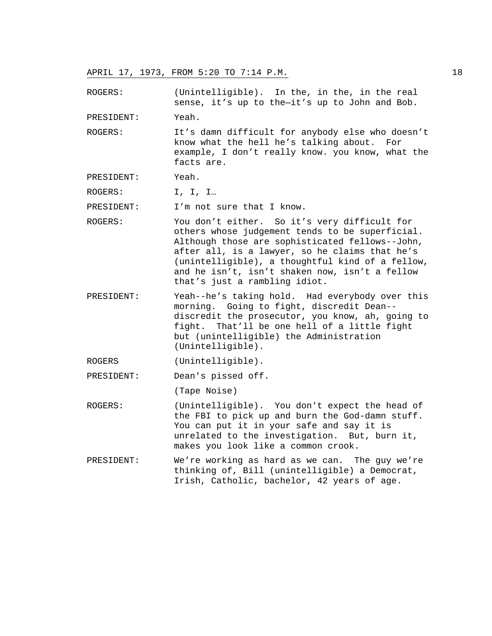ROGERS: (Unintelligible). In the, in the, in the real sense, it's up to the—it's up to John and Bob.

PRESIDENT: Yeah.

- ROGERS: It's damn difficult for anybody else who doesn't know what the hell he's talking about. For example, I don't really know. you know, what the facts are.
- PRESIDENT: Yeah.

ROGERS: I, I, I...

PRESIDENT: I'm not sure that I know.

- ROGERS: You don't either. So it's very difficult for others whose judgement tends to be superficial. Although those are sophisticated fellows--John, after all, is a lawyer, so he claims that he's (unintelligible), a thoughtful kind of a fellow, and he isn't, isn't shaken now, isn't a fellow that's just a rambling idiot.
- PRESIDENT: Yeah--he's taking hold. Had everybody over this morning. Going to fight, discredit Dean- discredit the prosecutor, you know, ah, going to fight. That'll be one hell of a little fight but (unintelligible) the Administration (Unintelligible).

ROGERS (Unintelligible).

PRESIDENT: Dean's pissed off.

(Tape Noise)

- ROGERS: (Unintelligible). You don't expect the head of the FBI to pick up and burn the God-damn stuff. You can put it in your safe and say it is unrelated to the investigation. But, burn it, makes you look like a common crook.
- PRESIDENT: We're working as hard as we can. The guy we're thinking of, Bill (unintelligible) a Democrat, Irish, Catholic, bachelor, 42 years of age.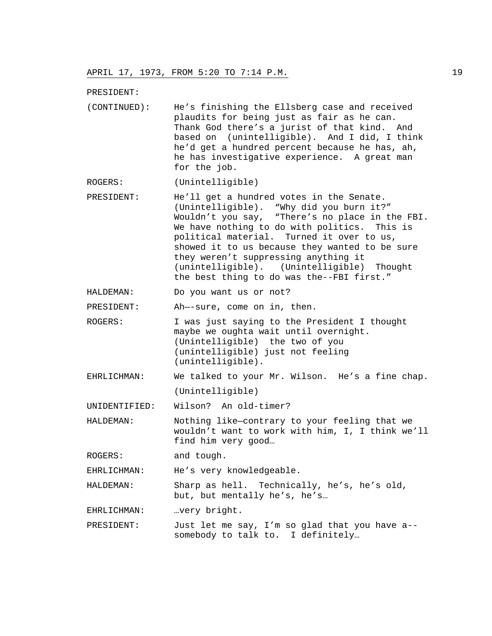PRESIDENT:

(CONTINUED): He's finishing the Ellsberg case and received plaudits for being just as fair as he can. Thank God there's a jurist of that kind. And based on (unintelligible). And I did, I think he'd get a hundred percent because he has, ah, he has investigative experience. A great man for the job.

ROGERS: (Unintelligible)

- PRESIDENT: He'll get a hundred votes in the Senate. (Unintelligible). "Why did you burn it?" Wouldn't you say, "There's no place in the FBI. We have nothing to do with politics. This is political material. Turned it over to us, showed it to us because they wanted to be sure they weren't suppressing anything it (unintelligible). (Unintelligible) Thought the best thing to do was the--FBI first."
- HALDEMAN: Do you want us or not?

PRESIDENT: Ah—-sure, come on in, then.

- ROGERS: I was just saying to the President I thought maybe we oughta wait until overnight. (Unintelligible) the two of you (unintelligible) just not feeling (unintelligible).
- EHRLICHMAN: We talked to your Mr. Wilson. He's a fine chap. (Unintelligible)

UNIDENTIFIED: Wilson? An old-timer?

HALDEMAN: Nothing like—contrary to your feeling that we wouldn't want to work with him, I, I think we'll find him very good…

ROGERS: and tough.

EHRLICHMAN: He's very knowledgeable.

HALDEMAN: Sharp as hell. Technically, he's, he's old, but, but mentally he's, he's…

EHRLICHMAN: …very bright.

PRESIDENT: Just let me say, I'm so glad that you have a- somebody to talk to. I definitely…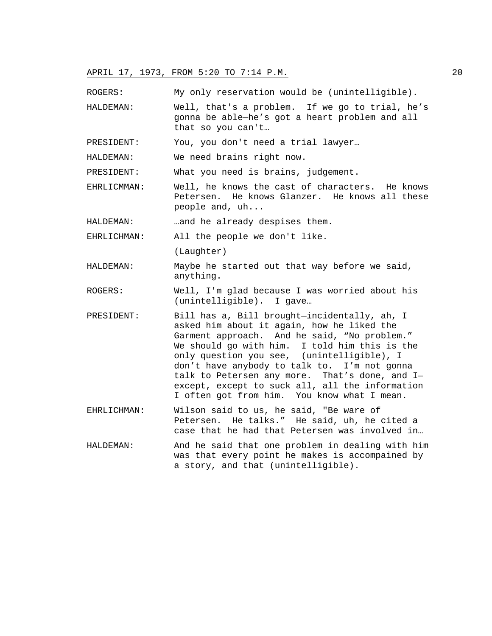ROGERS: My only reservation would be (unintelligible).

HALDEMAN: Well, that's a problem. If we go to trial, he's gonna be able—he's got a heart problem and all that so you can't…

PRESIDENT: You, you don't need a trial lawyer…

HALDEMAN: We need brains right now.

PRESIDENT: What you need is brains, judgement.

EHRLICMMAN: Well, he knows the cast of characters. He knows Petersen. He knows Glanzer. He knows all these people and, uh...

HALDEMAN: …and he already despises them.

EHRLICHMAN: All the people we don't like.

(Laughter)

- HALDEMAN: Maybe he started out that way before we said, anything.
- ROGERS: Well, I'm glad because I was worried about his (unintelligible). I gave…
- PRESIDENT: Bill has a, Bill brought—incidentally, ah, I asked him about it again, how he liked the Garment approach. And he said, "No problem." We should go with him. I told him this is the only question you see, (unintelligible), I don't have anybody to talk to. I'm not gonna talk to Petersen any more. That's done, and I except, except to suck all, all the information I often got from him. You know what I mean.
- EHRLICHMAN: Wilson said to us, he said, "Be ware of Petersen. He talks." He said, uh, he cited a case that he had that Petersen was involved in…
- HALDEMAN: And he said that one problem in dealing with him was that every point he makes is accompained by a story, and that (unintelligible).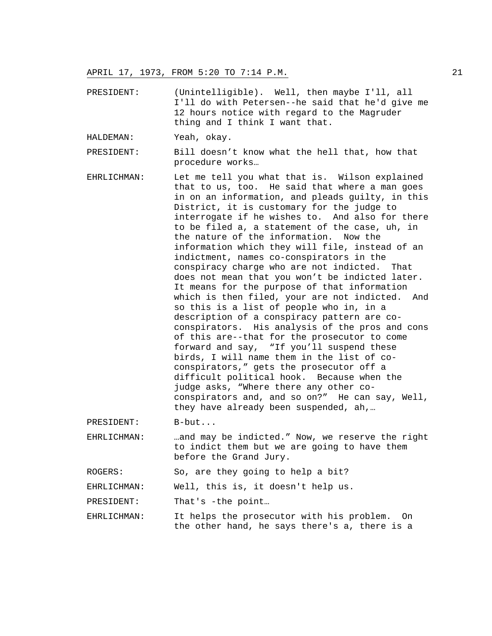- PRESIDENT: (Unintelligible). Well, then maybe I'll, all I'll do with Petersen--he said that he'd give me 12 hours notice with regard to the Magruder thing and I think I want that.
- HALDEMAN: Yeah, okay.

PRESIDENT: Bill doesn't know what the hell that, how that procedure works…

EHRLICHMAN: Let me tell you what that is. Wilson explained that to us, too. He said that where a man goes in on an information, and pleads guilty, in this District, it is customary for the judge to interrogate if he wishes to. And also for there to be filed a, a statement of the case, uh, in the nature of the information. Now the information which they will file, instead of an indictment, names co-conspirators in the conspiracy charge who are not indicted. That does not mean that you won't be indicted later. It means for the purpose of that information which is then filed, your are not indicted. And so this is a list of people who in, in a description of a conspiracy pattern are coconspirators. His analysis of the pros and cons of this are--that for the prosecutor to come forward and say, "If you'll suspend these birds, I will name them in the list of coconspirators," gets the prosecutor off a difficult political hook. Because when the judge asks, "Where there any other coconspirators and, and so on?" He can say, Well, they have already been suspended, ah,…

PRESIDENT: B-but...

EHRLICHMAN: …and may be indicted." Now, we reserve the right to indict them but we are going to have them before the Grand Jury.

ROGERS: So, are they going to help a bit?

EHRLICHMAN: Well, this is, it doesn't help us.

PRESIDENT: That's -the point...

EHRLICHMAN: It helps the prosecutor with his problem. On the other hand, he says there's a, there is a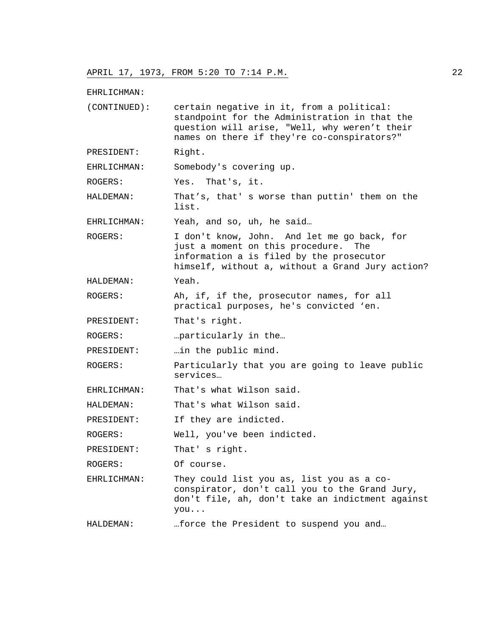EHRLICHMAN:

(CONTINUED): certain negative in it, from a political: standpoint for the Administration in that the question will arise, "Well, why weren't their names on there if they're co-conspirators?" PRESIDENT: Right. EHRLICHMAN: Somebody's covering up. ROGERS: Yes. That's, it. HALDEMAN: That's, that' s worse than puttin' them on the list.

EHRLICHMAN: Yeah, and so, uh, he said…

ROGERS: I don't know, John. And let me go back, for just a moment on this procedure. The information a is filed by the prosecutor himself, without a, without a Grand Jury action?

HALDEMAN: Yeah.

ROGERS: Ah, if, if the, prosecutor names, for all practical purposes, he's convicted 'en.

PRESIDENT: That's right.

ROGERS: …particularly in the…

PRESIDENT: …in the public mind.

ROGERS: Particularly that you are going to leave public services…

EHRLICHMAN: That's what Wilson said.

HALDEMAN: That's what Wilson said.

PRESIDENT: If they are indicted.

ROGERS: Well, you've been indicted.

PRESIDENT: That's right.

ROGERS: Of course.

EHRLICHMAN: They could list you as, list you as a coconspirator, don't call you to the Grand Jury, don't file, ah, don't take an indictment against you...

HALDEMAN: …force the President to suspend you and…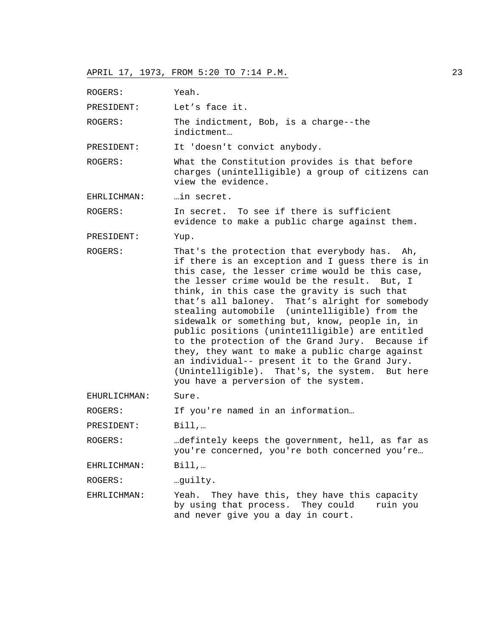ROGERS: Yeah. PRESIDENT: Let's face it. ROGERS: The indictment, Bob, is a charge--the indictment… PRESIDENT: It 'doesn't convict anybody. ROGERS: What the Constitution provides is that before charges (unintelligible) a group of citizens can view the evidence. EHRLICHMAN: …in secret. ROGERS: In secret. To see if there is sufficient evidence to make a public charge against them. PRESIDENT: Yup. ROGERS: That's the protection that everybody has. Ah, if there is an exception and I guess there is in this case, the lesser crime would be this case, the lesser crime would be the result. But, I think, in this case the gravity is such that that's all baloney. That's alright for somebody stealing automobile (unintelligible) from the sidewalk or something but, know, people in, in public positions (uninte11ligible) are entitled to the protection of the Grand Jury. Because if they, they want to make a public charge against an individual-- present it to the Grand Jury. (Unintelligible). That's, the system. But here you have a perversion of the system. EHURLICHMAN: Sure. ROGERS: If you're named in an information... PRESIDENT: Bill,… ROGERS: …defintely keeps the government, hell, as far as you're concerned, you're both concerned you're… EHRLICHMAN: Bill,... ROGERS: …guilty. EHRLICHMAN: Yeah. They have this, they have this capacity by using that process. They could ruin you

and never give you a day in court.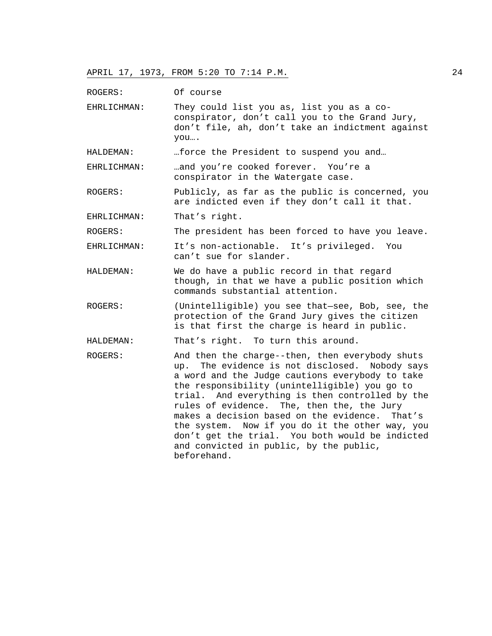ROGERS: Of course

EHRLICHMAN: They could list you as, list you as a coconspirator, don't call you to the Grand Jury, don't file, ah, don't take an indictment against you….

HALDEMAN: …force the President to suspend you and…

EHRLICHMAN: …and you're cooked forever. You're a conspirator in the Watergate case.

ROGERS: Publicly, as far as the public is concerned, you are indicted even if they don't call it that.

EHRLICHMAN: That's right.

ROGERS: The president has been forced to have you leave.

EHRLICHMAN: It's non-actionable. It's privileged. You can't sue for slander.

- HALDEMAN: We do have a public record in that regard though, in that we have a public position which commands substantial attention.
- ROGERS: (Unintelligible) you see that—see, Bob, see, the protection of the Grand Jury gives the citizen is that first the charge is heard in public.

HALDEMAN: That's right. To turn this around.

ROGERS: And then the charge--then, then everybody shuts up. The evidence is not disclosed. Nobody says a word and the Judge cautions everybody to take the responsibility (unintelligible) you go to trial. And everything is then controlled by the rules of evidence. The, then the, the Jury makes a decision based on the evidence. That's the system. Now if you do it the other way, you don't get the trial. You both would be indicted and convicted in public, by the public, beforehand.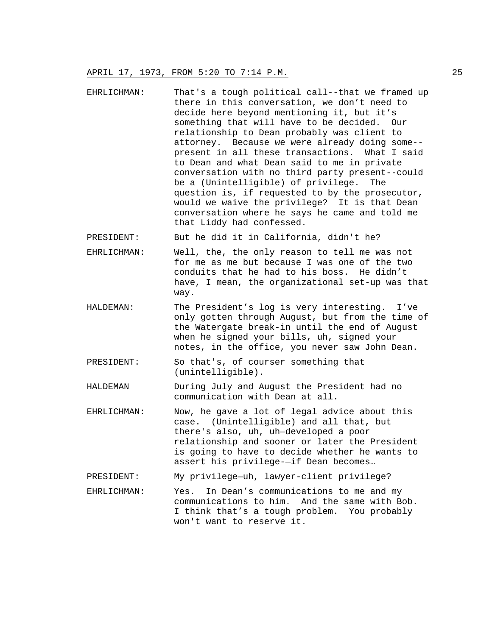EHRLICHMAN: That's a tough political call--that we framed up there in this conversation, we don't need to decide here beyond mentioning it, but it's something that will have to be decided. Our relationship to Dean probably was client to attorney. Because we were already doing some- present in all these transactions. What I said to Dean and what Dean said to me in private conversation with no third party present--could be a (Unintelligible) of privilege. The question is, if requested to by the prosecutor, would we waive the privilege? It is that Dean conversation where he says he came and told me that Liddy had confessed.

PRESIDENT: But he did it in California, didn't he?

- EHRLICHMAN: Well, the, the only reason to tell me was not for me as me but because I was one of the two conduits that he had to his boss. He didn't have, I mean, the organizational set-up was that way.
- HALDEMAN: The President's log is very interesting. I've only gotten through August, but from the time of the Watergate break-in until the end of August when he signed your bills, uh, signed your notes, in the office, you never saw John Dean.
- PRESIDENT: So that's, of courser something that (unintelligible).
- HALDEMAN During July and August the President had no communication with Dean at all.
- EHRLICHMAN: Now, he gave a lot of legal advice about this case. (Unintelligible) and all that, but there's also, uh, uh—developed a poor relationship and sooner or later the President is going to have to decide whether he wants to assert his privilege-—if Dean becomes…
- PRESIDENT: My privilege—uh, lawyer-client privilege?
- EHRLICHMAN: Yes. In Dean's communications to me and my communications to him. And the same with Bob. I think that's a tough problem. You probably won't want to reserve it.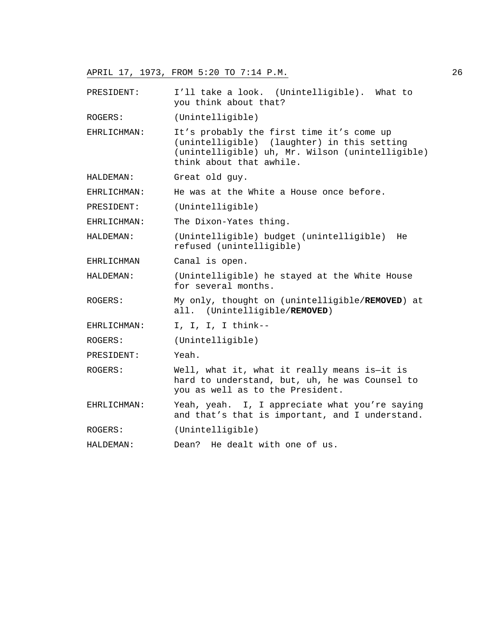PRESIDENT: I'll take a look. (Unintelligible). What to you think about that?

ROGERS: (Unintelligible)

EHRLICHMAN: It's probably the first time it's come up (unintelligible) (laughter) in this setting (unintelligible) uh, Mr. Wilson (unintelligible) think about that awhile.

HALDEMAN: Great old guy.

EHRLICHMAN: He was at the White a House once before.

PRESIDENT: (Unintelligible)

EHRLICHMAN: The Dixon-Yates thing.

HALDEMAN: (Unintelligible) budget (unintelligible) He refused (unintelligible)

EHRLICHMAN Canal is open.

HALDEMAN: (Unintelligible) he stayed at the White House for several months.

- ROGERS: My only, thought on (unintelligible/**REMOVED**) at all. (Unintelligible/**REMOVED**)
- EHRLICHMAN: I, I, I, I think--

ROGERS: (Unintelligible)

PRESIDENT: Yeah.

ROGERS: Well, what it, what it really means is—it is hard to understand, but, uh, he was Counsel to you as well as to the President.

EHRLICHMAN: Yeah, yeah. I, I appreciate what you're saying and that's that is important, and I understand.

ROGERS: (Unintelligible)

```
HALDEMAN: Dean? He dealt with one of us.
```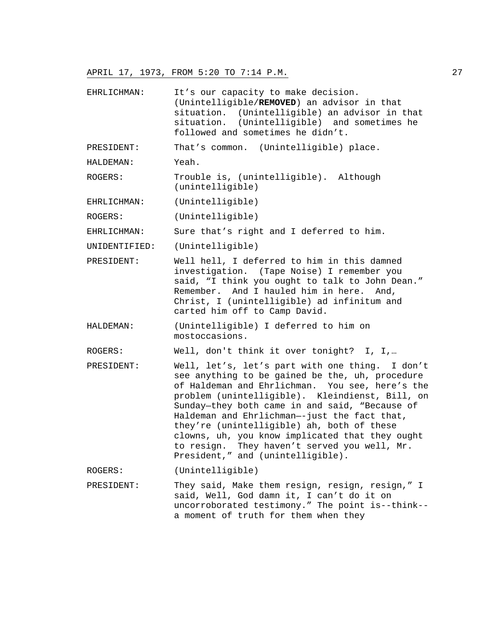EHRLICHMAN: It's our capacity to make decision. (Unintelligible/**REMOVED**) an advisor in that situation. (Unintelligible) an advisor in that situation. (Unintelligible) and sometimes he followed and sometimes he didn't.

PRESIDENT: That's common. (Unintelligible) place.

HALDEMAN: Yeah.

- ROGERS: Trouble is, (unintelligible). Although (unintelligible)
- EHRLICHMAN: (Unintelligible)

ROGERS: (Unintelligible)

EHRLICHMAN: Sure that's right and I deferred to him.

- UNIDENTIFIED: (Unintelligible)
- PRESIDENT: Well hell, I deferred to him in this damned investigation. (Tape Noise) I remember you said, "I think you ought to talk to John Dean." Remember. And I hauled him in here. And, Christ, I (unintelligible) ad infinitum and carted him off to Camp David.
- HALDEMAN: (Unintelligible) I deferred to him on mostoccasions.

ROGERS: Well, don't think it over tonight? I, I,…

PRESIDENT: Well, let's, let's part with one thing. I don't see anything to be gained be the, uh, procedure of Haldeman and Ehrlichman. You see, here's the problem (unintelligible). Kleindienst, Bill, on Sunday—they both came in and said, "Because of Haldeman and Ehrlichman—-just the fact that, they're (unintelligible) ah, both of these clowns, uh, you know implicated that they ought to resign. They haven't served you well, Mr. President," and (unintelligible).

ROGERS: (Unintelligible)

PRESIDENT: They said, Make them resign, resign, resign," I said, Well, God damn it, I can't do it on uncorroborated testimony." The point is--think- a moment of truth for them when they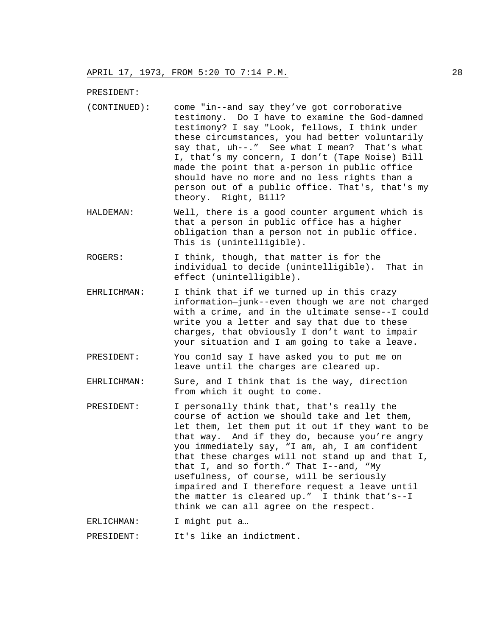PRESIDENT:

- (CONTINUED): come "in--and say they've got corroborative testimony. Do I have to examine the God-damned testimony? I say "Look, fellows, I think under these circumstances, you had better voluntarily say that, uh--." See what I mean? That's what I, that's my concern, I don't (Tape Noise) Bill made the point that a-person in public office should have no more and no less rights than a person out of a public office. That's, that's my theory. Right, Bill?
- HALDEMAN: Well, there is a good counter argument which is that a person in public office has a higher obligation than a person not in public office. This is (unintelligible).
- ROGERS: I think, though, that matter is for the individual to decide (unintelligible). That in effect (unintelligible).
- EHRLICHMAN: I think that if we turned up in this crazy information—junk--even though we are not charged with a crime, and in the ultimate sense--I could write you a letter and say that due to these charges, that obviously I don't want to impair your situation and I am going to take a leave.
- PRESIDENT: You con1d say I have asked you to put me on leave until the charges are cleared up.
- EHRLICHMAN: Sure, and I think that is the way, direction from which it ought to come.
- PRESIDENT: I personally think that, that's really the course of action we should take and let them, let them, let them put it out if they want to be that way. And if they do, because you're angry you immediately say, "I am, ah, I am confident that these charges will not stand up and that I, that I, and so forth." That I--and, "My usefulness, of course, will be seriously impaired and I therefore request a leave until the matter is cleared up." I think that's--I think we can all agree on the respect.
- ERLICHMAN: I might put a…

PRESIDENT: It's like an indictment.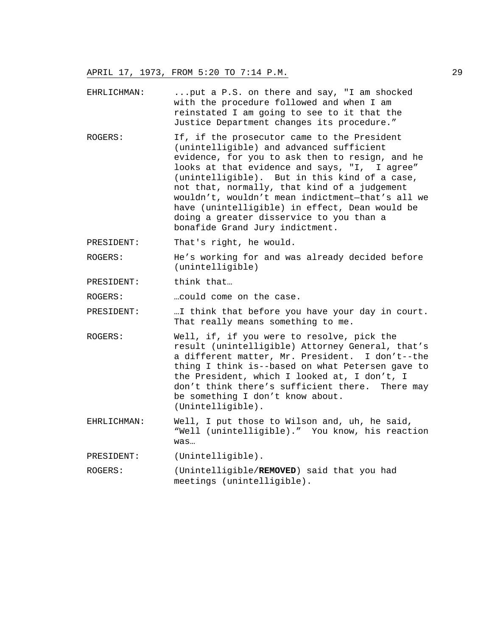- EHRLICHMAN: ...put a P.S. on there and say, "I am shocked with the procedure followed and when I am reinstated I am going to see to it that the Justice Department changes its procedure."
- ROGERS: If, if the prosecutor came to the President (unintelligible) and advanced sufficient evidence, for you to ask then to resign, and he looks at that evidence and says, "I, I agree" (unintelligible). But in this kind of a case, not that, normally, that kind of a judgement wouldn't, wouldn't mean indictment—that's all we have (unintelligible) in effect, Dean would be doing a greater disservice to you than a bonafide Grand Jury indictment.

PRESIDENT: That's right, he would.

ROGERS: He's working for and was already decided before (unintelligible)

PRESIDENT: think that...

ROGERS: …could come on the case.

PRESIDENT: …I think that before you have your day in court. That really means something to me.

- ROGERS: Well, if, if you were to resolve, pick the result (unintelligible) Attorney General, that's a different matter, Mr. President. I don't--the thing I think is--based on what Petersen gave to the President, which I looked at, I don't, I don't think there's sufficient there. There may be something I don't know about. (Unintelligible).
- EHRLICHMAN: Well, I put those to Wilson and, uh, he said, "Well (unintelligible)." You know, his reaction was…

PRESIDENT: (Unintelligible).

ROGERS: (Unintelligible/**REMOVED**) said that you had meetings (unintelligible).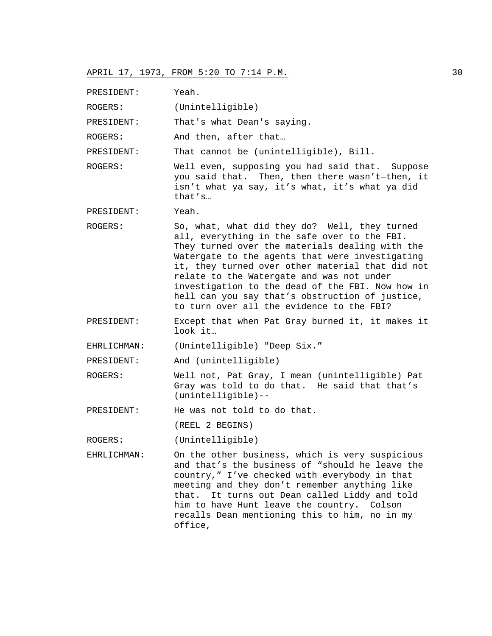PRESIDENT: Yeah.

ROGERS: (Unintelligible)

PRESIDENT: That's what Dean's saying.

ROGERS: And then, after that...

PRESIDENT: That cannot be (unintelligible), Bill.

ROGERS: Well even, supposing you had said that. Suppose you said that. Then, then there wasn't—then, it isn't what ya say, it's what, it's what ya did that's…

PRESIDENT: Yeah.

ROGERS: So, what, what did they do? Well, they turned all, everything in the safe over to the FBI. They turned over the materials dealing with the Watergate to the agents that were investigating it, they turned over other material that did not relate to the Watergate and was not under investigation to the dead of the FBI. Now how in hell can you say that's obstruction of justice, to turn over all the evidence to the FBI?

PRESIDENT: Except that when Pat Gray burned it, it makes it look it…

EHRLICHMAN: (Unintelligible) "Deep Six."

PRESIDENT: And (unintelligible)

ROGERS: Well not, Pat Gray, I mean (unintelligible) Pat Gray was told to do that. He said that that's (unintelligible)--

PRESIDENT: He was not told to do that.

(REEL 2 BEGINS)

ROGERS: (Unintelligible)

EHRLICHMAN: On the other business, which is very suspicious and that's the business of "should he leave the country," I've checked with everybody in that meeting and they don't remember anything like that. It turns out Dean called Liddy and told him to have Hunt leave the country. Colson recalls Dean mentioning this to him, no in my office,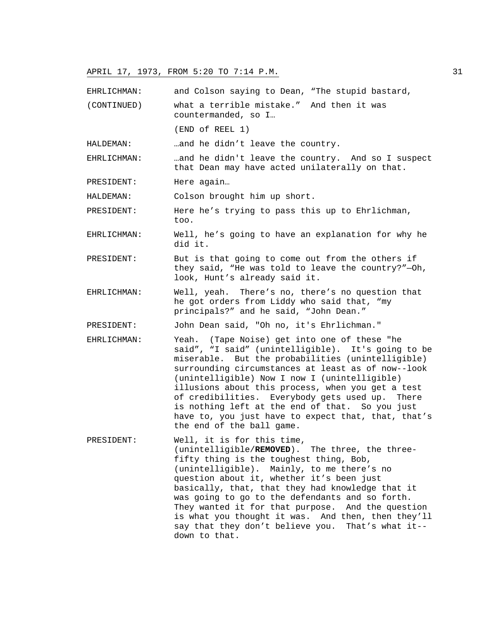EHRLICHMAN: and Colson saying to Dean, "The stupid bastard,

(CONTINUED) what a terrible mistake." And then it was countermanded, so I…

(END of REEL 1)

HALDEMAN: …and he didn't leave the country.

EHRLICHMAN: …and he didn't leave the country. And so I suspect that Dean may have acted unilaterally on that.

PRESIDENT: Here again…

HALDEMAN: Colson brought him up short.

PRESIDENT: Here he's trying to pass this up to Ehrlichman, too.

- EHRLICHMAN: Well, he's going to have an explanation for why he did it.
- PRESIDENT: But is that going to come out from the others if they said, "He was told to leave the country?"—Oh, look, Hunt's already said it.
- EHRLICHMAN: Well, yeah. There's no, there's no question that he got orders from Liddy who said that, "my principals?" and he said, "John Dean."

PRESIDENT: John Dean said, "Oh no, it's Ehrlichman."

- EHRLICHMAN: Yeah. (Tape Noise) get into one of these "he said", "I said" (unintelligible). It's going to be miserable. But the probabilities (unintelligible) surrounding circumstances at least as of now--look (unintelligible) Now I now I (unintelligible) illusions about this process, when you get a test of credibilities. Everybody gets used up. There is nothing left at the end of that. So you just have to, you just have to expect that, that, that's the end of the ball game.
- PRESIDENT: Well, it is for this time, (unintelligible/**REMOVED**). The three, the threefifty thing is the toughest thing, Bob, (unintelligible). Mainly, to me there's no question about it, whether it's been just basically, that, that they had knowledge that it was going to go to the defendants and so forth. They wanted it for that purpose. And the question is what you thought it was. And then, then they'll say that they don't believe you. That's what it- down to that.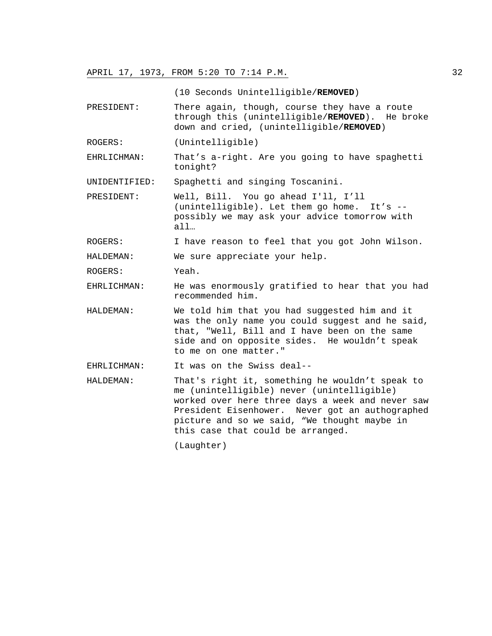(10 Seconds Unintelligible/**REMOVED**)

- PRESIDENT: There again, though, course they have a route through this (unintelligible/**REMOVED**). He broke down and cried, (unintelligible/**REMOVED**)
- ROGERS: (Unintelligible)
- EHRLICHMAN: That's a-right. Are you going to have spaghetti tonight?

UNIDENTIFIED: Spaghetti and singing Toscanini.

PRESIDENT: Well, Bill. You go ahead I'll, I'll (unintelligible). Let them go home. It's - possibly we may ask your advice tomorrow with all…

ROGERS: I have reason to feel that you got John Wilson.

HALDEMAN: We sure appreciate your help.

ROGERS: Yeah.

EHRLICHMAN: He was enormously gratified to hear that you had recommended him.

HALDEMAN: We told him that you had suggested him and it was the only name you could suggest and he said, that, "Well, Bill and I have been on the same side and on opposite sides. He wouldn't speak to me on one matter."

EHRLICHMAN: It was on the Swiss deal--

HALDEMAN: That's right it, something he wouldn't speak to me (unintelligible) never (unintelligible) worked over here three days a week and never saw President Eisenhower. Never got an authographed picture and so we said, "We thought maybe in this case that could be arranged.

(Laughter)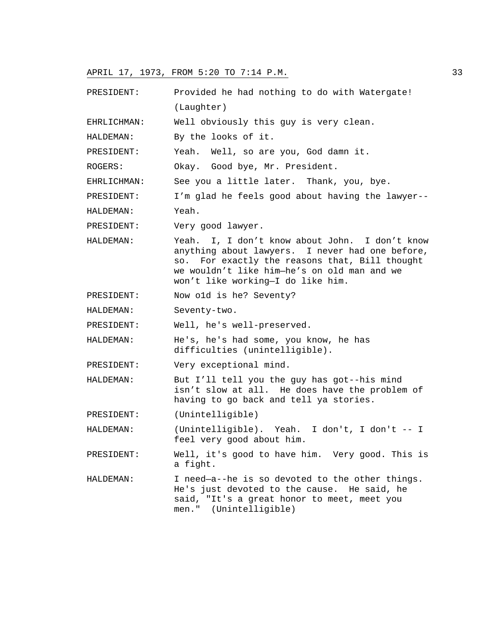PRESIDENT: Provided he had nothing to do with Watergate! (Laughter) EHRLICHMAN: Well obviously this guy is very clean. HALDEMAN: By the looks of it. PRESIDENT: Yeah. Well, so are you, God damn it. ROGERS: Okay. Good bye, Mr. President. EHRLICHMAN: See you a little later. Thank, you, bye. PRESIDENT: I'm glad he feels good about having the lawyer-- HALDEMAN: Yeah. PRESIDENT: Very good lawyer. HALDEMAN: Yeah. I, I don't know about John. I don't know anything about lawyers. I never had one before, so. For exactly the reasons that, Bill thought we wouldn't like him—he's on old man and we won't like working—I do like him. PRESIDENT: Now o1d is he? Seventy? HALDEMAN: Seventy-two. PRESIDENT: Well, he's well-preserved. HALDEMAN: He's, he's had some, you know, he has difficulties (unintelligible). PRESIDENT: Very exceptional mind. HALDEMAN: But I'll tell you the guy has got--his mind isn't slow at all. He does have the problem of having to go back and tell ya stories. PRESIDENT: (Unintelligible) HALDEMAN: (Unintelligible). Yeah. I don't, I don't -- I feel very good about him. PRESIDENT: Well, it's good to have him. Very good. This is a fight. HALDEMAN: I need—a--he is so devoted to the other things. He's just devoted to the cause. He said, he said, "It's a great honor to meet, meet you men." (Unintelligible)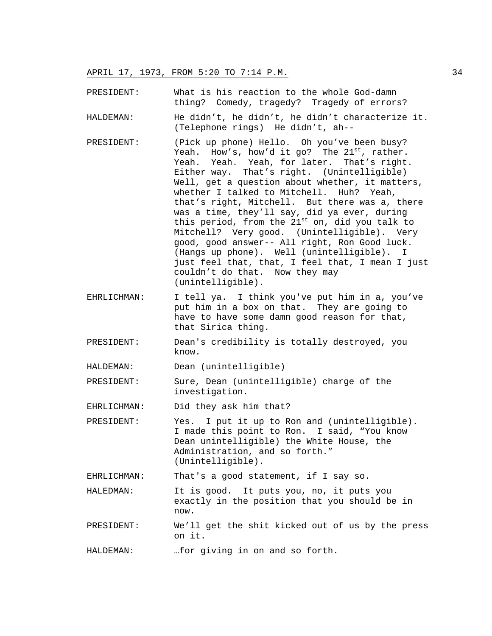PRESIDENT: What is his reaction to the whole God-damn thing? Comedy, tragedy? Tragedy of errors?

- HALDEMAN: He didn't, he didn't, he didn't characterize it. (Telephone rings) He didn't, ah--
- PRESIDENT: (Pick up phone) Hello. Oh you've been busy? Yeah. How's, how'd it go? The  $21^{st}$ , rather. Yeah. Yeah. Yeah, for later. That's right. Either way. That's right. (Unintelligible) Well, get a question about whether, it matters, whether I talked to Mitchell. Huh? Yeah, that's right, Mitchell. But there was a, there was a time, they'll say, did ya ever, during this period, from the  $21^{st}$  on, did you talk to Mitchell? Very good. (Unintelligible). Very good, good answer-- All right, Ron Good luck. (Hangs up phone). Well (unintelligible). I just feel that, that, I feel that, I mean I just couldn't do that. Now they may (unintelligible).
- EHRLICHMAN: I tell ya. I think you've put him in a, you've put him in a box on that. They are going to have to have some damn good reason for that, that Sirica thing.
- PRESIDENT: Dean's credibility is totally destroyed, you know.
- HALDEMAN: Dean (unintelligible)

PRESIDENT: Sure, Dean (unintelligible) charge of the investigation.

EHRLICHMAN: Did they ask him that?

PRESIDENT: Yes. I put it up to Ron and (unintelligible). I made this point to Ron. I said, "You know Dean unintelligible) the White House, the Administration, and so forth." (Unintelligible).

EHRLICHMAN: That's a good statement, if I say so.

HALEDMAN: It is good. It puts you, no, it puts you exactly in the position that you should be in now.

PRESIDENT: We'll get the shit kicked out of us by the press on it.

HALDEMAN: …for giving in on and so forth.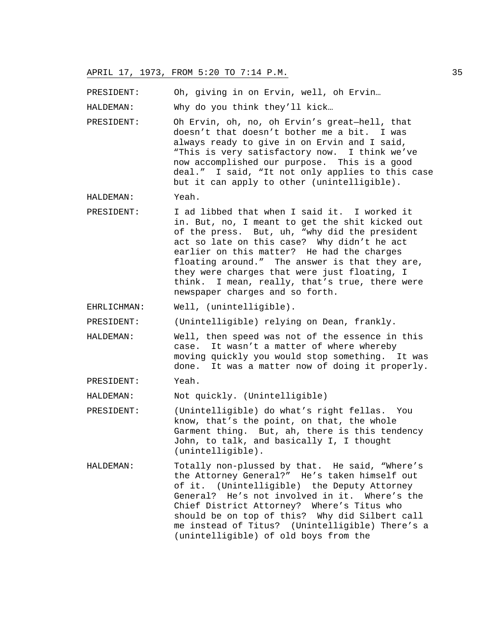PRESIDENT: Oh, giving in on Ervin, well, oh Ervin…

HALDEMAN: Why do you think they'll kick…

PRESIDENT: Oh Ervin, oh, no, oh Ervin's great—hell, that doesn't that doesn't bother me a bit. I was always ready to give in on Ervin and I said, "This is very satisfactory now. I think we've now accomplished our purpose. This is a good deal." I said, "It not only applies to this case but it can apply to other (unintelligible).

HALDEMAN: Yeah.

- PRESIDENT: I ad libbed that when I said it. I worked it in. But, no, I meant to get the shit kicked out of the press. But, uh, "why did the president act so late on this case? Why didn't he act earlier on this matter? He had the charges floating around." The answer is that they are, they were charges that were just floating, I think. I mean, really, that's true, there were newspaper charges and so forth.
- EHRLICHMAN: Well, (unintelligible).

PRESIDENT: (Unintelligible) relying on Dean, frankly.

- HALDEMAN: Well, then speed was not of the essence in this case. It wasn't a matter of where whereby moving quickly you would stop something. It was done. It was a matter now of doing it properly.
- PRESIDENT: Yeah.

HALDEMAN: Not quickly. (Unintelligible)

- PRESIDENT: (Unintelligible) do what's right fellas. You know, that's the point, on that, the whole Garment thing. But, ah, there is this tendency John, to talk, and basically I, I thought (unintelligible).
- HALDEMAN: Totally non-plussed by that. He said, "Where's the Attorney General?" He's taken himself out of it. (Unintelligible) the Deputy Attorney General? He's not involved in it. Where's the Chief District Attorney? Where's Titus who should be on top of this? Why did Silbert call me instead of Titus? (Unintelligible) There's a (unintelligible) of old boys from the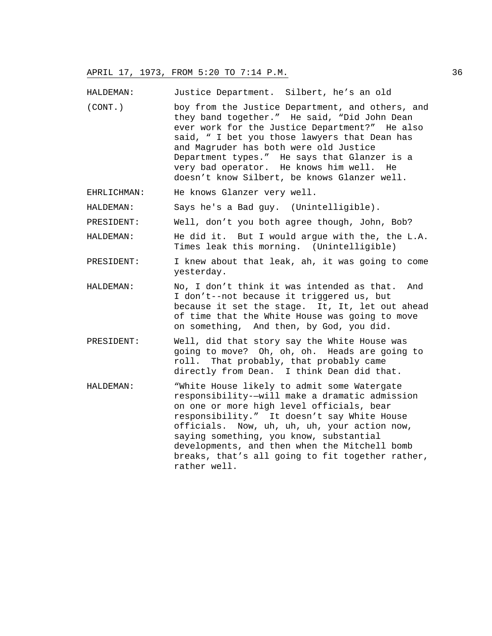HALDEMAN: Justice Department. Silbert, he's an old

- (CONT.) boy from the Justice Department, and others, and they band together." He said, "Did John Dean ever work for the Justice Department?" He also said, " I bet you those lawyers that Dean has and Magruder has both were old Justice Department types." He says that Glanzer is a very bad operator. He knows him well. He doesn't know Silbert, be knows Glanzer well.
- EHRLICHMAN: He knows Glanzer very well.

HALDEMAN: Says he's a Bad guy. (Unintelligible).

PRESIDENT: Well, don't you both agree though, John, Bob?

- HALDEMAN: He did it. But I would argue with the, the L.A. Times leak this morning. (Unintelligible)
- PRESIDENT: I knew about that leak, ah, it was going to come yesterday.
- HALDEMAN: No, I don't think it was intended as that. And I don't--not because it triggered us, but because it set the stage. It, It, let out ahead of time that the White House was going to move on something, And then, by God, you did.
- PRESIDENT: Well, did that story say the White House was going to move? Oh, oh, oh. Heads are going to roll. That probably, that probably came directly from Dean. I think Dean did that.
- HALDEMAN: "White House likely to admit some Watergate responsibility-—will make a dramatic admission on one or more high level officials, bear responsibility." It doesn't say White House officials. Now, uh, uh, uh, your action now, saying something, you know, substantial developments, and then when the Mitchell bomb breaks, that's all going to fit together rather, rather well.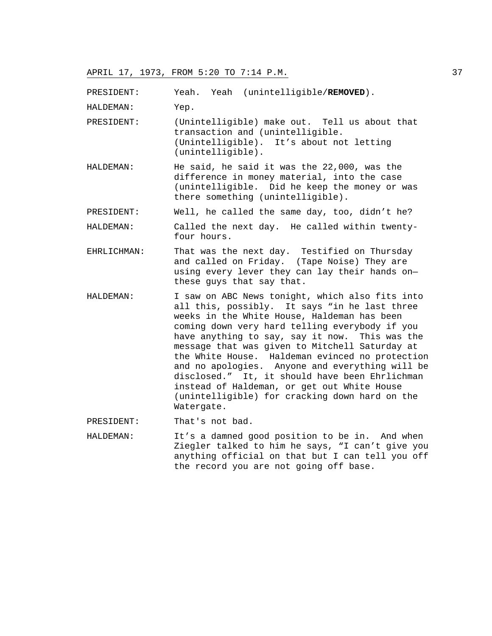PRESIDENT: Yeah. Yeah (unintelligible/**REMOVED**).

HALDEMAN: Yep.

PRESIDENT: (Unintelligible) make out. Tell us about that transaction and (unintelligible. (Unintelligible). It's about not letting (unintelligible).

- HALDEMAN: He said, he said it was the 22,000, was the difference in money material, into the case (unintelligible. Did he keep the money or was there something (unintelligible).
- PRESIDENT: Well, he called the same day, too, didn't he?

HALDEMAN: Called the next day. He called within twentyfour hours.

- EHRLICHMAN: That was the next day. Testified on Thursday and called on Friday. (Tape Noise) They are using every lever they can lay their hands on these guys that say that.
- HALDEMAN: I saw on ABC News tonight, which also fits into all this, possibly. It says "in he last three weeks in the White House, Haldeman has been coming down very hard telling everybody if you have anything to say, say it now. This was the message that was given to Mitchell Saturday at the White House. Haldeman evinced no protection and no apologies. Anyone and everything will be disclosed." It, it should have been Ehrlichman instead of Haldeman, or get out White House (unintelligible) for cracking down hard on the Watergate.
- PRESIDENT: That's not bad.
- HALDEMAN: It's a damned good position to be in. And when Ziegler talked to him he says, "I can't give you anything official on that but I can tell you off the record you are not going off base.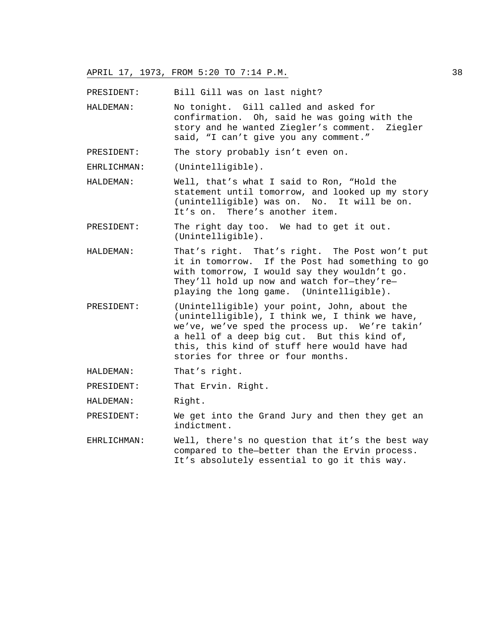PRESIDENT: Bill Gill was on last night?

HALDEMAN: No tonight. Gill called and asked for confirmation. Oh, said he was going with the story and he wanted Ziegler's comment. Ziegler said, "I can't give you any comment."

PRESIDENT: The story probably isn't even on.

EHRLICHMAN: (Unintelligible).

- HALDEMAN: Well, that's what I said to Ron, "Hold the statement until tomorrow, and looked up my story (unintelligible) was on. No. It will be on. It's on. There's another item.
- PRESIDENT: The right day too. We had to get it out. (Unintelligible).
- HALDEMAN: That's right. That's right. The Post won't put it in tomorrow. If the Post had something to go with tomorrow, I would say they wouldn't go. They'll hold up now and watch for—they're playing the long game. (Unintelligible).
- PRESIDENT: (Unintelligible) your point, John, about the (unintelligible), I think we, I think we have, we've, we've sped the process up. We're takin' a hell of a deep big cut. But this kind of, this, this kind of stuff here would have had stories for three or four months.
- HALDEMAN: That's right.

PRESIDENT: That Ervin. Right.

- HALDEMAN: Right.
- PRESIDENT: We get into the Grand Jury and then they get an indictment.
- EHRLICHMAN: Well, there's no question that it's the best way compared to the—better than the Ervin process. It's absolutely essential to go it this way.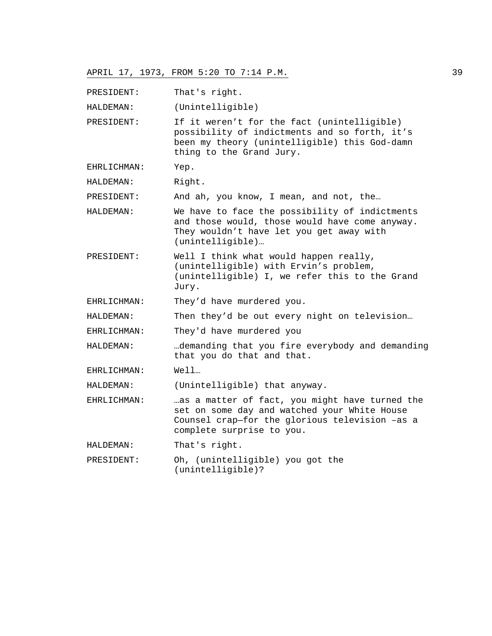PRESIDENT: That's right.

HALDEMAN: (Unintelligible)

PRESIDENT: If it weren't for the fact (unintelligible) possibility of indictments and so forth, it's been my theory (unintelligible) this God-damn thing to the Grand Jury.

EHRLICHMAN: Yep.

HALDEMAN: Right.

PRESIDENT: And ah, you know, I mean, and not, the…

HALDEMAN: We have to face the possibility of indictments and those would, those would have come anyway. They wouldn't have let you get away with (unintelligible)…

PRESIDENT: Well I think what would happen really, (unintelligible) with Ervin's problem, (unintelligible) I, we refer this to the Grand Jury.

EHRLICHMAN: They'd have murdered you.

HALDEMAN: Then they'd be out every night on television…

- EHRLICHMAN: They'd have murdered you
- HALDEMAN: …demanding that you fire everybody and demanding that you do that and that.
- EHRLICHMAN: Well…

HALDEMAN: (Unintelligible) that anyway.

- EHRLICHMAN: …as a matter of fact, you might have turned the set on some day and watched your White House Counsel crap—for the glorious television –as a complete surprise to you.
- HALDEMAN: That's right.
- PRESIDENT: Oh, (unintelligible) you got the (unintelligible)?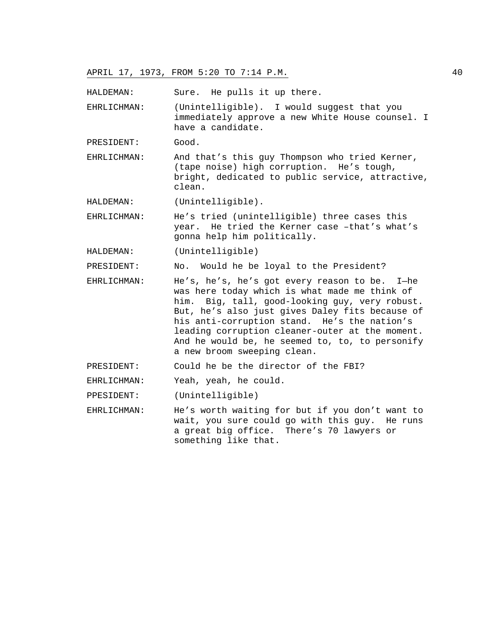HALDEMAN: Sure. He pulls it up there.

EHRLICHMAN: (Unintelligible). I would suggest that you immediately approve a new White House counsel. I have a candidate.

PRESIDENT: Good.

- EHRLICHMAN: And that's this guy Thompson who tried Kerner, (tape noise) high corruption. He's tough, bright, dedicated to public service, attractive, clean.
- HALDEMAN: (Unintelligible).

EHRLICHMAN: He's tried (unintelligible) three cases this year. He tried the Kerner case –that's what's gonna help him politically.

HALDEMAN: (Unintelligible)

PRESIDENT: No. Would he be loyal to the President?

EHRLICHMAN: He's, he's, he's got every reason to be. I—he was here today which is what made me think of him. Big, tall, good-looking guy, very robust. But, he's also just gives Daley fits because of his anti-corruption stand. He's the nation's leading corruption cleaner-outer at the moment. And he would be, he seemed to, to, to personify a new broom sweeping clean.

PRESIDENT: Could he be the director of the FBI?

EHRLICHMAN: Yeah, yeah, he could.

PPESIDENT: (Unintelligible)

EHRLICHMAN: He's worth waiting for but if you don't want to wait, you sure could go with this guy. He runs a great big office. There's 70 lawyers or something like that.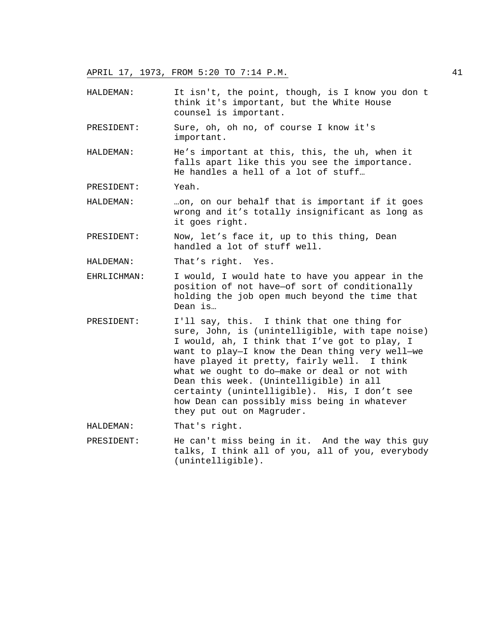HALDEMAN: It isn't, the point, though, is I know you don t think it's important, but the White House counsel is important.

PRESIDENT: Sure, oh, oh no, of course I know it's important.

- HALDEMAN: He's important at this, this, the uh, when it falls apart like this you see the importance. He handles a hell of a lot of stuff…
- PRESIDENT: Yeah.
- HALDEMAN: …on, on our behalf that is important if it goes wrong and it's totally insignificant as long as it goes right.
- PRESIDENT: Now, let's face it, up to this thing, Dean handled a lot of stuff well.
- HALDEMAN: That's right. Yes.
- EHRLICHMAN: I would, I would hate to have you appear in the position of not have—of sort of conditionally holding the job open much beyond the time that Dean is…
- PRESIDENT: I'll say, this. I think that one thing for sure, John, is (unintelligible, with tape noise) I would, ah, I think that I've got to play, I want to play—I know the Dean thing very well—we have played it pretty, fairly well. I think what we ought to do—make or deal or not with Dean this week. (Unintelligible) in all certainty (unintelligible). His, I don't see how Dean can possibly miss being in whatever they put out on Magruder.
- HALDEMAN: That's right.
- PRESIDENT: He can't miss being in it. And the way this guy talks, I think all of you, all of you, everybody (unintelligible).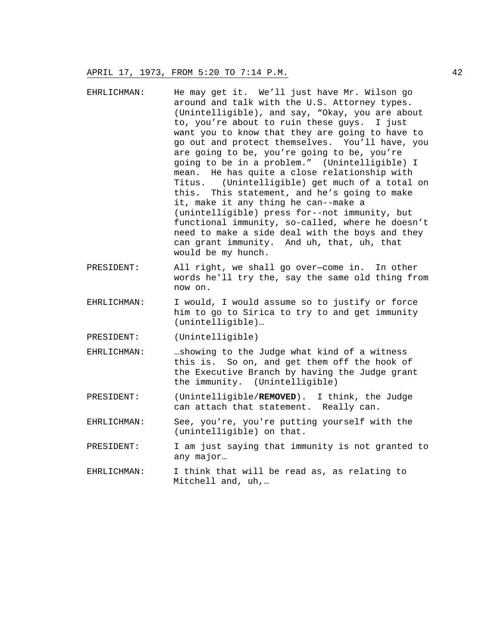- EHRLICHMAN: He may get it. We'll just have Mr. Wilson go around and talk with the U.S. Attorney types. (Unintelligible), and say, "Okay, you are about to, you're about to ruin these guys. I just want you to know that they are going to have to go out and protect themselves. You'll have, you are going to be, you're going to be, you're going to be in a problem." (Unintelligible) I mean. He has quite a close relationship with Titus. (Unintelligible) get much of a total on this. This statement, and he's going to make it, make it any thing he can--make a (unintelligible) press for--not immunity, but functional immunity, so-called, where he doesn't need to make a side deal with the boys and they can grant immunity. And uh, that, uh, that would be my hunch.
- PRESIDENT: All right, we shall go over—come in. In other words he'll try the, say the same old thing from now on.
- EHRLICHMAN: I would, I would assume so to justify or force him to go to Sirica to try to and get immunity (unintelligible)…
- PRESIDENT: (Unintelligible)
- EHRLICHMAN: …showing to the Judge what kind of a witness this is. So on, and get them off the hook of the Executive Branch by having the Judge grant the immunity. (Unintelligible)
- PRESIDENT: (Unintelligible/**REMOVED**). I think, the Judge can attach that statement. Really can.
- EHRLICHMAN: See, you're, you're putting yourself with the (unintelligible) on that.
- PRESIDENT: I am just saying that immunity is not granted to any major…
- EHRLICHMAN: I think that will be read as, as relating to Mitchell and, uh,…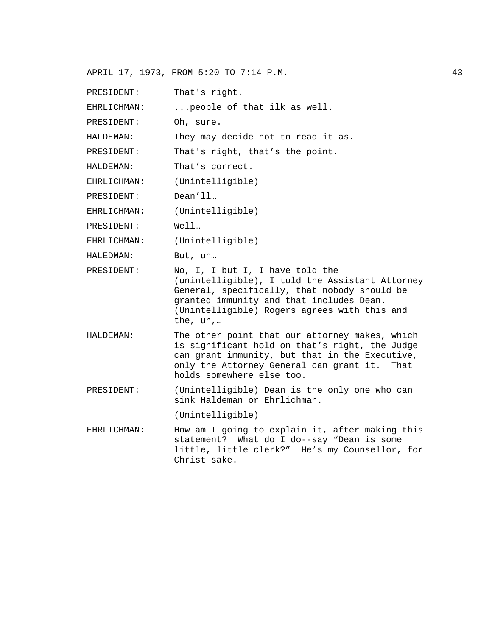| PRESIDENT:  | That's right.                                                                                                                                                                                                                              |
|-------------|--------------------------------------------------------------------------------------------------------------------------------------------------------------------------------------------------------------------------------------------|
| EHRLICHMAN: | people of that ilk as well.                                                                                                                                                                                                                |
| PRESIDENT:  | Oh, sure.                                                                                                                                                                                                                                  |
| HALDEMAN:   | They may decide not to read it as.                                                                                                                                                                                                         |
| PRESIDENT:  | That's right, that's the point.                                                                                                                                                                                                            |
| HALDEMAN:   | That's correct.                                                                                                                                                                                                                            |
| EHRLICHMAN: | (Unintelligible)                                                                                                                                                                                                                           |
| PRESIDENT:  | Dean'11                                                                                                                                                                                                                                    |
| EHRLICHMAN: | (Unintelligible)                                                                                                                                                                                                                           |
| PRESIDENT:  | Well                                                                                                                                                                                                                                       |
| EHRLICHMAN: | (Unintelligible)                                                                                                                                                                                                                           |
| HALEDMAN:   | But, uh                                                                                                                                                                                                                                    |
| PRESIDENT:  | No, I, I-but I, I have told the<br>(unintelligible), I told the Assistant Attorney<br>General, specifically, that nobody should be<br>granted immunity and that includes Dean.<br>(Unintelligible) Rogers agrees with this and<br>the, uh, |
| HALDEMAN:   | The other point that our attorney makes, which<br>is significant-hold on-that's right, the Judge<br>can grant immunity, but that in the Executive,<br>only the Attorney General can grant it. That<br>holds somewhere else too.            |
| PRESIDENT:  | (Unintelligible) Dean is the only one who can<br>sink Haldeman or Ehrlichman.                                                                                                                                                              |
|             | (Unintelligible)                                                                                                                                                                                                                           |
| EHRLICHMAN: | How am I going to explain it, after making this<br>statement? What do I do--say "Dean is some<br>little, little clerk?" He's my Counsellor, for<br>Christ sake.                                                                            |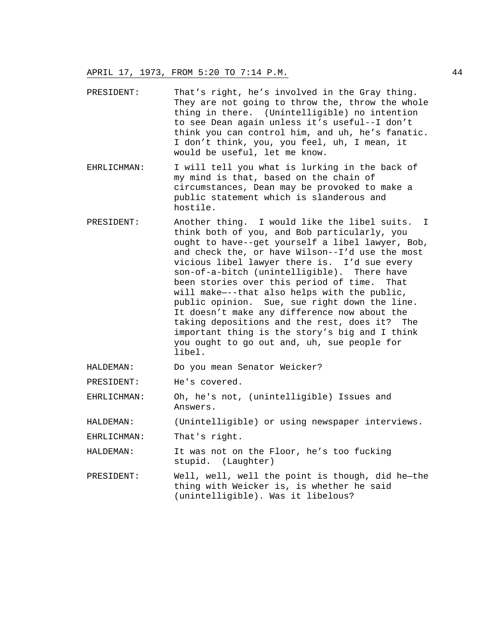- PRESIDENT: That's right, he's involved in the Gray thing. They are not going to throw the, throw the whole thing in there. (Unintelligible) no intention to see Dean again unless it's useful--I don't think you can control him, and uh, he's fanatic. I don't think, you, you feel, uh, I mean, it would be useful, let me know.
- EHRLICHMAN: I will tell you what is lurking in the back of my mind is that, based on the chain of circumstances, Dean may be provoked to make a public statement which is slanderous and hostile.
- PRESIDENT: Another thing. I would like the libel suits. I think both of you, and Bob particularly, you ought to have--get yourself a libel lawyer, Bob, and check the, or have Wilson--I'd use the most vicious libel lawyer there is. I'd sue every son-of-a-bitch (unintelligible). There have been stories over this period of time. That will make—--that also helps with the public, public opinion. Sue, sue right down the line. It doesn't make any difference now about the taking depositions and the rest, does it? The important thing is the story's big and I think you ought to go out and, uh, sue people for libel.
- HALDEMAN: Do you mean Senator Weicker?
- PRESIDENT: He's covered.
- EHRLICHMAN: Oh, he's not, (unintelligible) Issues and Answers.
- HALDEMAN: (Unintelligible) or using newspaper interviews.

EHRLICHMAN: That's right.

- HALDEMAN: It was not on the Floor, he's too fucking stupid. (Laughter)
- PRESIDENT: Well, well, well the point is though, did he—the thing with Weicker is, is whether he said (unintelligible). Was it libelous?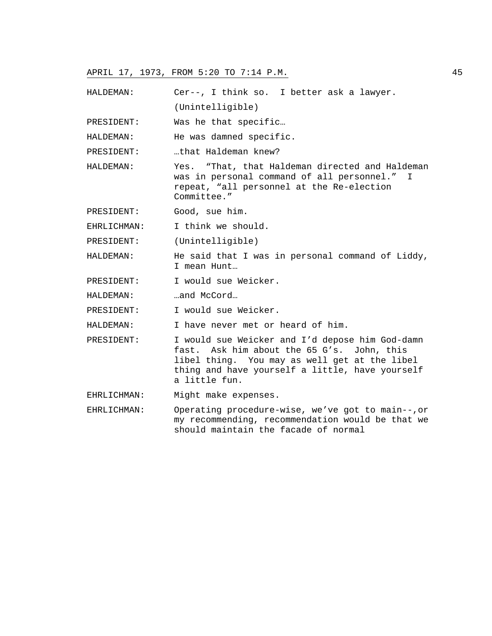(Unintelligible) PRESIDENT: Was he that specific… HALDEMAN: He was damned specific. PRESIDENT: ....that Haldeman knew? HALDEMAN: Yes. "That, that Haldeman directed and Haldeman was in personal command of all personnel." I repeat, "all personnel at the Re-election Committee." PRESIDENT: Good, sue him. EHRLICHMAN: I think we should.

HALDEMAN: Cer--, I think so. I better ask a lawyer.

PRESIDENT: (Unintelligible)

HALDEMAN: He said that I was in personal command of Liddy, I mean Hunt…

- PRESIDENT: I would sue Weicker.
- HALDEMAN: …and McCord...

PRESIDENT: I would sue Weicker.

HALDEMAN: I have never met or heard of him.

- PRESIDENT: I would sue Weicker and I'd depose him God-damn fast. Ask him about the 65 G's. John, this libel thing. You may as well get at the libel thing and have yourself a little, have yourself a little fun.
- EHRLICHMAN: Might make expenses.

EHRLICHMAN: Operating procedure-wise, we've got to main--,or my recommending, recommendation would be that we should maintain the facade of normal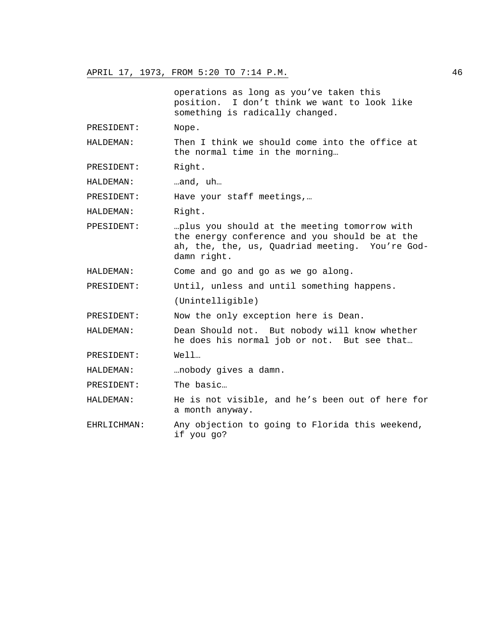operations as long as you've taken this position. I don't think we want to look like something is radically changed.

PRESIDENT: Nope.

HALDEMAN: Then I think we should come into the office at the normal time in the morning…

PRESIDENT: Right.

HALDEMAN: …and, uh…

PRESIDENT: Have your staff meetings,…

HALDEMAN: Right.

PPESIDENT: …plus you should at the meeting tomorrow with the energy conference and you should be at the ah, the, the, us, Quadriad meeting. You're Goddamn right.

HALDEMAN: Come and go and go as we go along.

PRESIDENT: Until, unless and until something happens.

(Unintelligible)

PRESIDENT: Now the only exception here is Dean.

HALDEMAN: Dean Should not. But nobody will know whether he does his normal job or not. But see that…

PRESIDENT: Well…

HALDEMAN: …nobody gives a damn.

PRESIDENT: The basic…

HALDEMAN: He is not visible, and he's been out of here for a month anyway.

EHRLICHMAN: Any objection to going to Florida this weekend, if you go?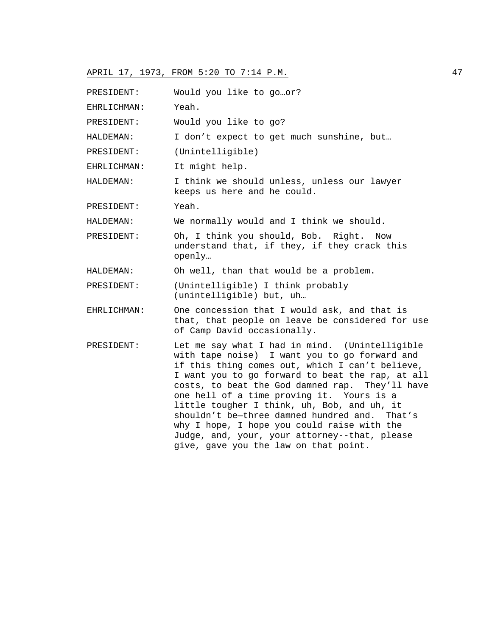| PRESIDENT:  | Would you like to goor?                                                                                                                                                                                                                                                                                                                                                                                                                                                                                                                         |
|-------------|-------------------------------------------------------------------------------------------------------------------------------------------------------------------------------------------------------------------------------------------------------------------------------------------------------------------------------------------------------------------------------------------------------------------------------------------------------------------------------------------------------------------------------------------------|
| EHRLICHMAN: | Yeah.                                                                                                                                                                                                                                                                                                                                                                                                                                                                                                                                           |
| PRESIDENT:  | Would you like to go?                                                                                                                                                                                                                                                                                                                                                                                                                                                                                                                           |
| HALDEMAN:   | I don't expect to get much sunshine, but                                                                                                                                                                                                                                                                                                                                                                                                                                                                                                        |
| PRESIDENT:  | (Unintelligible)                                                                                                                                                                                                                                                                                                                                                                                                                                                                                                                                |
| EHRLICHMAN: | It might help.                                                                                                                                                                                                                                                                                                                                                                                                                                                                                                                                  |
| HALDEMAN:   | I think we should unless, unless our lawyer<br>keeps us here and he could.                                                                                                                                                                                                                                                                                                                                                                                                                                                                      |
| PRESIDENT:  | Yeah.                                                                                                                                                                                                                                                                                                                                                                                                                                                                                                                                           |
| HALDEMAN:   | We normally would and I think we should.                                                                                                                                                                                                                                                                                                                                                                                                                                                                                                        |
| PRESIDENT:  | Oh, I think you should, Bob. Right.<br>Now<br>understand that, if they, if they crack this<br>openly                                                                                                                                                                                                                                                                                                                                                                                                                                            |
| HALDEMAN:   | Oh well, than that would be a problem.                                                                                                                                                                                                                                                                                                                                                                                                                                                                                                          |
| PRESIDENT:  | (Unintelligible) I think probably<br>(unintelligible) but, uh                                                                                                                                                                                                                                                                                                                                                                                                                                                                                   |
| EHRLICHMAN: | One concession that I would ask, and that is<br>that, that people on leave be considered for use<br>of Camp David occasionally.                                                                                                                                                                                                                                                                                                                                                                                                                 |
| PRESIDENT:  | Let me say what I had in mind. (Unintelligible<br>with tape noise) I want you to go forward and<br>if this thing comes out, which I can't believe,<br>I want you to go forward to beat the rap, at all<br>costs, to beat the God damned rap. They'll have<br>one hell of a time proving it. Yours is a<br>little tougher I think, uh, Bob, and uh, it<br>shouldn't be-three damned hundred and. That's<br>why I hope, I hope you could raise with the<br>Judge, and, your, your attorney--that, please<br>give, gave you the law on that point. |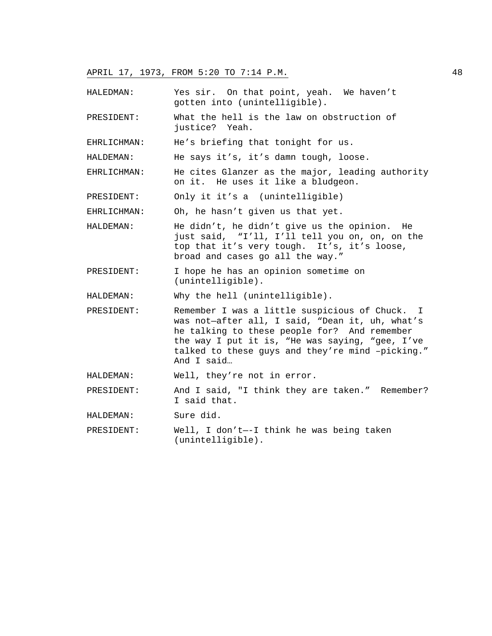- HALEDMAN: Yes sir. On that point, yeah. We haven't gotten into (unintelligible).
- PRESIDENT: What the hell is the law on obstruction of justice? Yeah.

EHRLICHMAN: He's briefing that tonight for us.

HALDEMAN: He says it's, it's damn tough, loose.

- EHRLICHMAN: He cites Glanzer as the major, leading authority on it. He uses it like a bludgeon.
- PRESIDENT: Only it it's a (unintelligible)

EHRLICHMAN: Oh, he hasn't given us that yet.

- HALDEMAN: He didn't, he didn't give us the opinion. He just said, "I'll, I'll tell you on, on, on the top that it's very tough. It's, it's loose, broad and cases go all the way."
- PRESIDENT: I hope he has an opinion sometime on (unintelligible).

HALDEMAN: Why the hell (unintelligible).

- PRESIDENT: Remember I was a little suspicious of Chuck. I was not—after all, I said, "Dean it, uh, what's he talking to these people for? And remember the way I put it is, "He was saying, "gee, I've talked to these guys and they're mind –picking." And I said…
- HALDEMAN: Well, they're not in error.
- PRESIDENT: And I said, "I think they are taken." Remember? I said that.
- HALDEMAN: Sure did.
- PRESIDENT: Well, I don't—-I think he was being taken (unintelligible).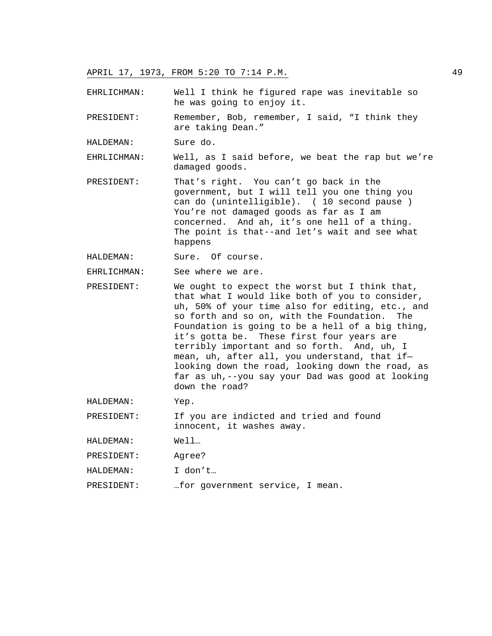EHRLICHMAN: Well I think he figured rape was inevitable so he was going to enjoy it.

PRESIDENT: Remember, Bob, remember, I said, "I think they are taking Dean."

HALDEMAN: Sure do.

EHRLICHMAN: Well, as I said before, we beat the rap but we're damaged goods.

PRESIDENT: That's right. You can't go back in the government, but I will tell you one thing you can do (unintelligible). ( 10 second pause ) You're not damaged goods as far as I am concerned. And ah, it's one hell of a thing. The point is that--and let's wait and see what happens

HALDEMAN: Sure. Of course.

EHRLICHMAN: See where we are.

PRESIDENT: We ought to expect the worst but I think that, that what I would like both of you to consider, uh, 50% of your time also for editing, etc., and so forth and so on, with the Foundation. The Foundation is going to be a hell of a big thing, it's gotta be. These first four years are terribly important and so forth. And, uh, I mean, uh, after all, you understand, that if looking down the road, looking down the road, as far as uh,--you say your Dad was good at looking down the road?

HALDEMAN: Yep.

PRESIDENT: If you are indicted and tried and found innocent, it washes away.

HALDEMAN: Well…

PRESIDENT: Agree?

HALDEMAN: I don't…

PRESIDENT: …for government service, I mean.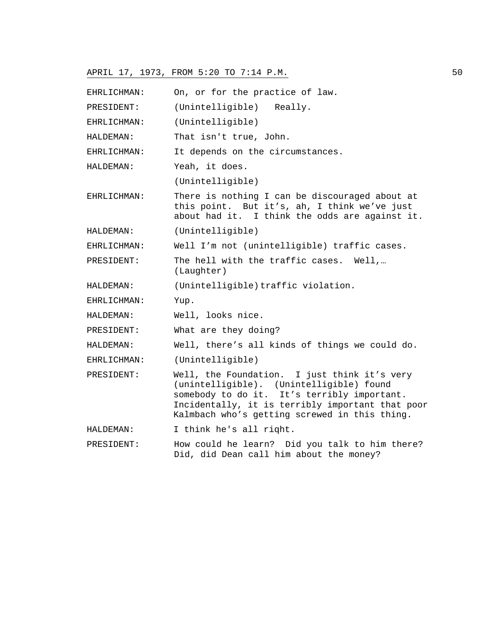| EHRLICHMAN: | On, or for the practice of law.                                                                                                                                                                                                              |
|-------------|----------------------------------------------------------------------------------------------------------------------------------------------------------------------------------------------------------------------------------------------|
| PRESIDENT:  | (Unintelligible)<br>Really.                                                                                                                                                                                                                  |
| EHRLICHMAN: | (Unintelligible)                                                                                                                                                                                                                             |
| HALDEMAN:   | That isn't true, John.                                                                                                                                                                                                                       |
| EHRLICHMAN: | It depends on the circumstances.                                                                                                                                                                                                             |
| HALDEMAN:   | Yeah, it does.                                                                                                                                                                                                                               |
|             | (Unintelligible)                                                                                                                                                                                                                             |
| EHRLICHMAN: | There is nothing I can be discouraged about at<br>this point. But it's, ah, I think we've just<br>about had it. I think the odds are against it.                                                                                             |
| HALDEMAN:   | (Unintelligible)                                                                                                                                                                                                                             |
| EHRLICHMAN: | Well I'm not (unintelligible) traffic cases.                                                                                                                                                                                                 |
| PRESIDENT:  | The hell with the traffic cases. Well,<br>(Laughter)                                                                                                                                                                                         |
| HALDEMAN:   | (Unintelligible) traffic violation.                                                                                                                                                                                                          |
| EHRLICHMAN: | Yup.                                                                                                                                                                                                                                         |
| HALDEMAN:   | Well, looks nice.                                                                                                                                                                                                                            |
| PRESIDENT:  | What are they doing?                                                                                                                                                                                                                         |
| HALDEMAN:   | Well, there's all kinds of things we could do.                                                                                                                                                                                               |
| EHRLICHMAN: | (Unintelligible)                                                                                                                                                                                                                             |
| PRESIDENT:  | Well, the Foundation. I just think it's very<br>(unintelligible). (Unintelligible) found<br>somebody to do it. It's terribly important.<br>Incidentally, it is terribly important that poor<br>Kalmbach who's getting screwed in this thing. |
| HALDEMAN:   | I think he's all right.                                                                                                                                                                                                                      |
| PRESIDENT:  | How could he learn? Did you talk to him there?<br>Did, did Dean call him about the money?                                                                                                                                                    |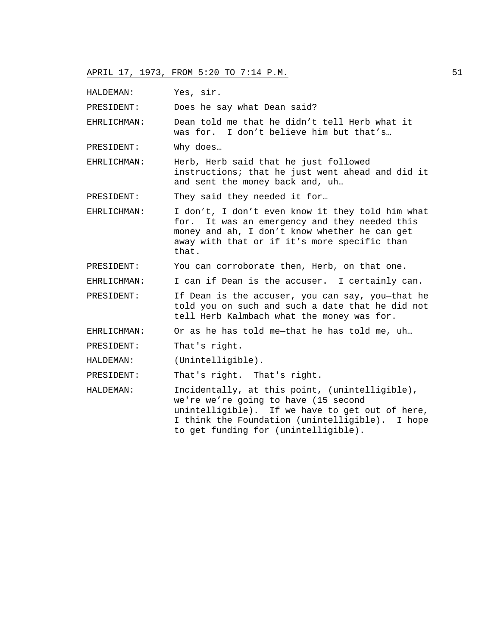HALDEMAN: Yes, sir.

PRESIDENT: Does he say what Dean said?

EHRLICHMAN: Dean told me that he didn't tell Herb what it was for. I don't believe him but that's…

PRESIDENT: Why does…

EHRLICHMAN: Herb, Herb said that he just followed instructions; that he just went ahead and did it and sent the money back and, uh…

PRESIDENT: They said they needed it for...

EHRLICHMAN: I don't, I don't even know it they told him what for. It was an emergency and they needed this money and ah, I don't know whether he can get away with that or if it's more specific than that.

PRESIDENT: You can corroborate then, Herb, on that one.

EHRLICHMAN: I can if Dean is the accuser. I certainly can.

PRESIDENT: If Dean is the accuser, you can say, you-that he told you on such and such a date that he did not tell Herb Kalmbach what the money was for.

EHRLICHMAN: Or as he has told me—that he has told me, uh…

PRESIDENT: That's right.

HALDEMAN: (Unintelligible).

PRESIDENT: That's right. That's right.

HALDEMAN: Incidentally, at this point, (unintelligible), we're we're going to have (15 second unintelligible). If we have to get out of here, I think the Foundation (unintelligible). I hope to get funding for (unintelligible).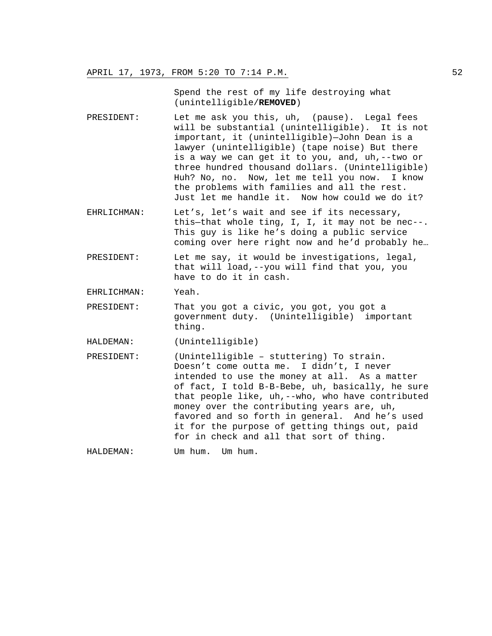Spend the rest of my life destroying what (unintelligible/**REMOVED**)

- PRESIDENT: Let me ask you this, uh, (pause). Legal fees will be substantial (unintelligible). It is not important, it (unintelligible)—John Dean is a lawyer (unintelligible) (tape noise) But there is a way we can get it to you, and, uh,--two or three hundred thousand dollars. (Unintelligible) Huh? No, no. Now, let me tell you now. I know the problems with families and all the rest. Just let me handle it. Now how could we do it?
- EHRLICHMAN: Let's, let's wait and see if its necessary, this—that whole ting, I, I, it may not be nec--. This guy is like he's doing a public service coming over here right now and he'd probably he…
- PRESIDENT: Let me say, it would be investigations, legal, that will load,--you will find that you, you have to do it in cash.
- EHRLICHMAN: Yeah.
- PRESIDENT: That you got a civic, you got, you got a government duty. (Unintelligible) important thing.
- HALDEMAN: (Unintelligible)
- PRESIDENT: (Unintelligible stuttering) To strain. Doesn't come outta me. I didn't, I never intended to use the money at all. As a matter of fact, I told B-B-Bebe, uh, basically, he sure that people like, uh,--who, who have contributed money over the contributing years are, uh, favored and so forth in general. And he's used it for the purpose of getting things out, paid for in check and all that sort of thing.

HALDEMAN: Um hum. Um hum.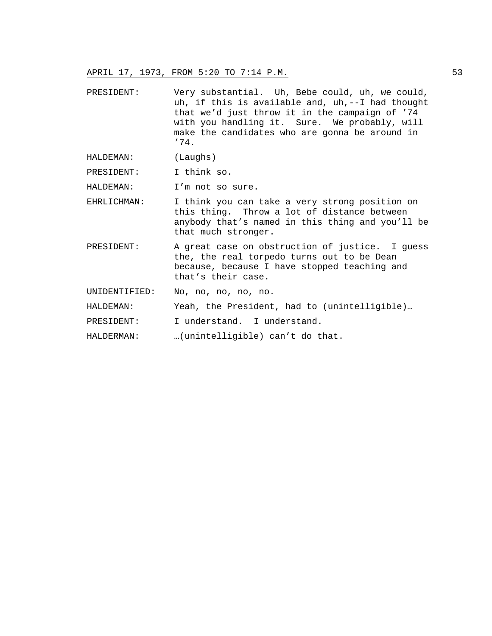- PRESIDENT: Very substantial. Uh, Bebe could, uh, we could, uh, if this is available and, uh,--I had thought that we'd just throw it in the campaign of '74 with you handling it. Sure. We probably, will make the candidates who are gonna be around in '74.
- HALDEMAN: (Laughs)

PRESIDENT: I think so.

- HALDEMAN: I'm not so sure.
- EHRLICHMAN: I think you can take a very strong position on this thing. Throw a lot of distance between anybody that's named in this thing and you'll be that much stronger.
- PRESIDENT: A great case on obstruction of justice. I guess the, the real torpedo turns out to be Dean because, because I have stopped teaching and that's their case.
- UNIDENTIFIED: No, no, no, no, no.
- HALDEMAN: Yeah, the President, had to (unintelligible)...
- PRESIDENT: I understand. I understand.
- HALDERMAN: …(unintelligible) can't do that.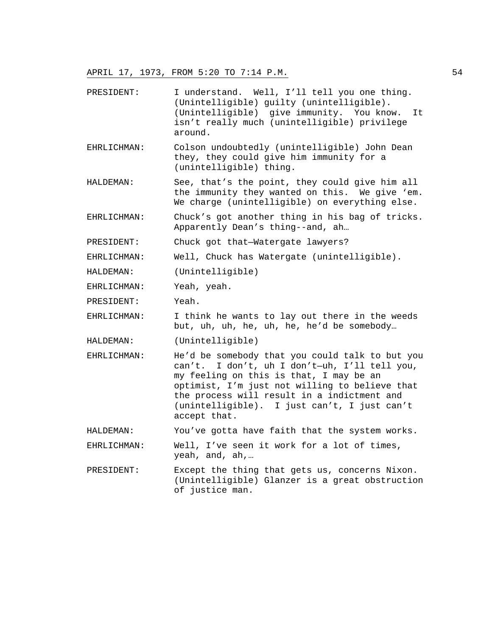- PRESIDENT: I understand. Well, I'll tell you one thing. (Unintelligible) guilty (unintelligible). (Unintelligible) give immunity. You know. It isn't really much (unintelligible) privilege around.
- EHRLICHMAN: Colson undoubtedly (unintelligible) John Dean they, they could give him immunity for a (unintelligible) thing.
- HALDEMAN: See, that's the point, they could give him all the immunity they wanted on this. We give 'em. We charge (unintelligible) on everything else.
- EHRLICHMAN: Chuck's got another thing in his bag of tricks. Apparently Dean's thing--and, ah…
- PRESIDENT: Chuck got that—Watergate lawyers?
- EHRLICHMAN: Well, Chuck has Watergate (unintelligible).
- HALDEMAN: (Unintelligible)
- EHRLICHMAN: Yeah, yeah.
- PRESIDENT: Yeah.

EHRLICHMAN: I think he wants to lay out there in the weeds but, uh, uh, he, uh, he, he'd be somebody…

- HALDEMAN: (Unintelligible)
- EHRLICHMAN: He'd be somebody that you could talk to but you can't. I don't, uh I don't—uh, I'll tell you, my feeling on this is that, I may be an optimist, I'm just not willing to believe that the process will result in a indictment and (unintelligible). I just can't, I just can't accept that.

HALDEMAN: You've gotta have faith that the system works.

EHRLICHMAN: Well, I've seen it work for a lot of times, yeah, and, ah,…

PRESIDENT: Except the thing that gets us, concerns Nixon. (Unintelligible) Glanzer is a great obstruction of justice man.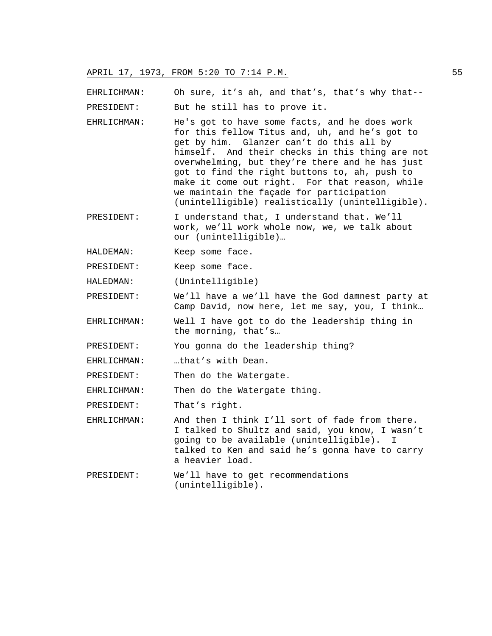EHRLICHMAN: Oh sure, it's ah, and that's, that's why that--

PRESIDENT: But he still has to prove it.

- EHRLICHMAN: He's got to have some facts, and he does work for this fellow Titus and, uh, and he's got to get by him. Glanzer can't do this all by himself. And their checks in this thing are not overwhelming, but they're there and he has just got to find the right buttons to, ah, push to make it come out right. For that reason, while we maintain the façade for participation (unintelligible) realistically (unintelligible).
- PRESIDENT: I understand that, I understand that. We'll work, we'll work whole now, we, we talk about our (unintelligible)…
- HALDEMAN: Keep some face.
- PRESIDENT: Keep some face.
- HALEDMAN: (Unintelligible)
- PRESIDENT: We'll have a we'll have the God damnest party at Camp David, now here, let me say, you, I think…
- EHRLICHMAN: Well I have got to do the leadership thing in the morning, that's…

PRESIDENT: You gonna do the leadership thing?

- EHRLICHMAN: …that's with Dean.
- PRESIDENT: Then do the Watergate.

EHRLICHMAN: Then do the Watergate thing.

PRESIDENT: That's right.

EHRLICHMAN: And then I think I'll sort of fade from there. I talked to Shultz and said, you know, I wasn't going to be available (unintelligible). I talked to Ken and said he's gonna have to carry a heavier load.

PRESIDENT: We'll have to get recommendations (unintelligible).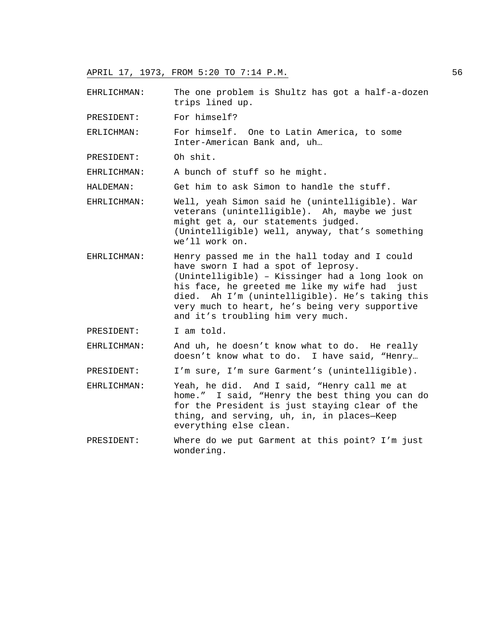EHRLICHMAN: The one problem is Shultz has got a half-a-dozen trips lined up.

PRESIDENT: For himself?

ERLICHMAN: For himself. One to Latin America, to some Inter-American Bank and, uh…

PRESIDENT: Oh shit.

EHRLICHMAN: A bunch of stuff so he might.

HALDEMAN: Get him to ask Simon to handle the stuff.

EHRLICHMAN: Well, yeah Simon said he (unintelligible). War veterans (unintelligible). Ah, maybe we just might get a, our statements judged. (Unintelligible) well, anyway, that's something we'll work on.

EHRLICHMAN: Henry passed me in the hall today and I could have sworn I had a spot of leprosy. (Unintelligible) – Kissinger had a long look on his face, he greeted me like my wife had just died. Ah I'm (unintelligible). He's taking this very much to heart, he's being very supportive and it's troubling him very much.

PRESIDENT: I am told.

EHRLICHMAN: And uh, he doesn't know what to do. He really doesn't know what to do. I have said, "Henry…

PRESIDENT: I'm sure, I'm sure Garment's (unintelligible).

- EHRLICHMAN: Yeah, he did. And I said, "Henry call me at home." I said, "Henry the best thing you can do for the President is just staying clear of the thing, and serving, uh, in, in places—Keep everything else clean.
- PRESIDENT: Where do we put Garment at this point? I'm just wondering.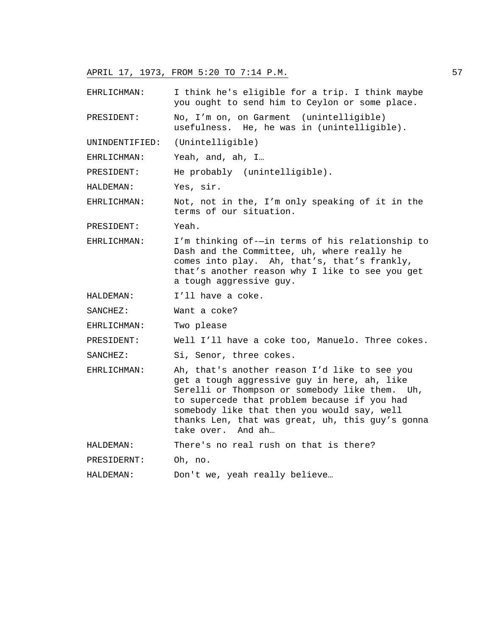EHRLICHMAN: I think he's eligible for a trip. I think maybe you ought to send him to Ceylon or some place.

PRESIDENT: No, I'm on, on Garment (unintelligible) usefulness. He, he was in (unintelligible).

UNINDENTIFIED: (Unintelligible)

EHRLICHMAN: Yeah, and, ah, I…

PRESIDENT: He probably (unintelligible).

HALDEMAN: Yes, sir.

EHRLICHMAN: Not, not in the, I'm only speaking of it in the terms of our situation.

PRESIDENT: Yeah.

EHRLICHMAN: I'm thinking of-—in terms of his relationship to Dash and the Committee, uh, where really he comes into play. Ah, that's, that's frankly, that's another reason why I like to see you get a tough aggressive guy.

HALDEMAN: I'll have a coke.

SANCHEZ: Want a coke?

EHRLICHMAN: Two please

PRESIDENT: Well I'll have a coke too, Manuelo. Three cokes.

SANCHEZ: Si, Senor, three cokes.

EHRLICHMAN: Ah, that's another reason I'd like to see you get a tough aggressive guy in here, ah, like Serelli or Thompson or somebody like them. Uh, to supercede that problem because if you had somebody like that then you would say, well thanks Len, that was great, uh, this guy's gonna take over. And ah…

HALDEMAN: There's no real rush on that is there?

PRESIDERNT: Oh, no.

HALDEMAN: Don't we, yeah really believe…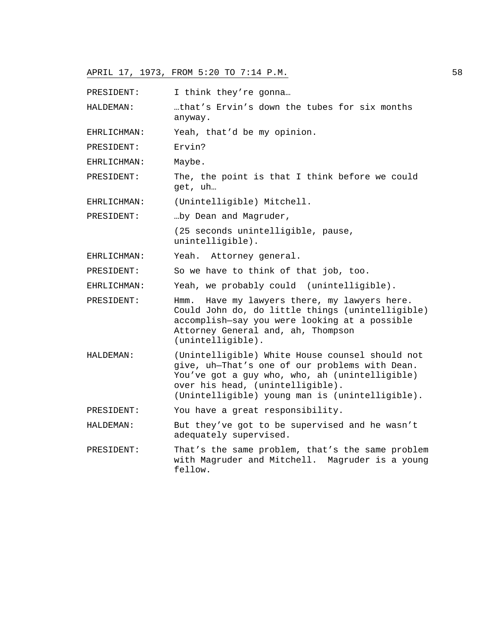PRESIDENT: I think they're gonna...

HALDEMAN: …that's Ervin's down the tubes for six months anyway.

EHRLICHMAN: Yeah, that'd be my opinion.

PRESIDENT: Ervin?

EHRLICHMAN: Maybe.

PRESIDENT: The, the point is that I think before we could get, uh…

EHRLICHMAN: (Unintelligible) Mitchell.

PRESIDENT: …by Dean and Magruder,

(25 seconds unintelligible, pause, unintelligible).

EHRLICHMAN: Yeah. Attorney general.

PRESIDENT: So we have to think of that job, too.

EHRLICHMAN: Yeah, we probably could (unintelligible).

PRESIDENT: Hmm. Have my lawyers there, my lawyers here. Could John do, do little things (unintelligible) accomplish—say you were looking at a possible Attorney General and, ah, Thompson (unintelligible).

HALDEMAN: (Unintelligible) White House counsel should not give, uh—That's one of our problems with Dean. You've got a guy who, who, ah (unintelligible) over his head, (unintelligible). (Unintelligible) young man is (unintelligible).

PRESIDENT: You have a great responsibility.

HALDEMAN: But they've got to be supervised and he wasn't adequately supervised.

PRESIDENT: That's the same problem, that's the same problem with Magruder and Mitchell. Magruder is a young fellow.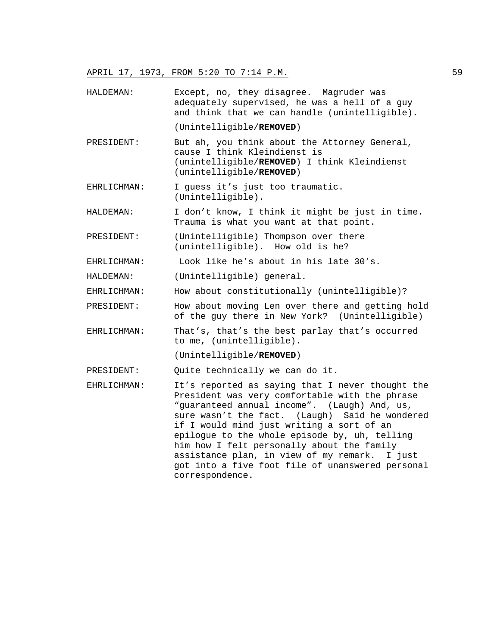HALDEMAN: Except, no, they disagree. Magruder was adequately supervised, he was a hell of a guy and think that we can handle (unintelligible).

(Unintelligible/**REMOVED**)

- PRESIDENT: But ah, you think about the Attorney General, cause I think Kleindienst is (unintelligible/**REMOVED**) I think Kleindienst (unintelligible/**REMOVED**)
- EHRLICHMAN: I guess it's just too traumatic. (Unintelligible).
- HALDEMAN: I don't know, I think it might be just in time. Trauma is what you want at that point.
- PRESIDENT: (Unintelligible) Thompson over there (unintelligible). How old is he?
- EHRLICHMAN: Look like he's about in his late 30's.

HALDEMAN: (Unintelligible) general.

- EHRLICHMAN: How about constitutionally (unintelligible)?
- PRESIDENT: How about moving Len over there and getting hold of the guy there in New York? (Unintelligible)
- EHRLICHMAN: That's, that's the best parlay that's occurred to me, (unintelligible).

(Unintelligible/**REMOVED**)

PRESIDENT: Quite technically we can do it.

EHRLICHMAN: It's reported as saying that I never thought the President was very comfortable with the phrase "guaranteed annual income". (Laugh) And, us, sure wasn't the fact. (Laugh) Said he wondered if I would mind just writing a sort of an epilogue to the whole episode by, uh, telling him how I felt personally about the family assistance plan, in view of my remark. I just got into a five foot file of unanswered personal correspondence.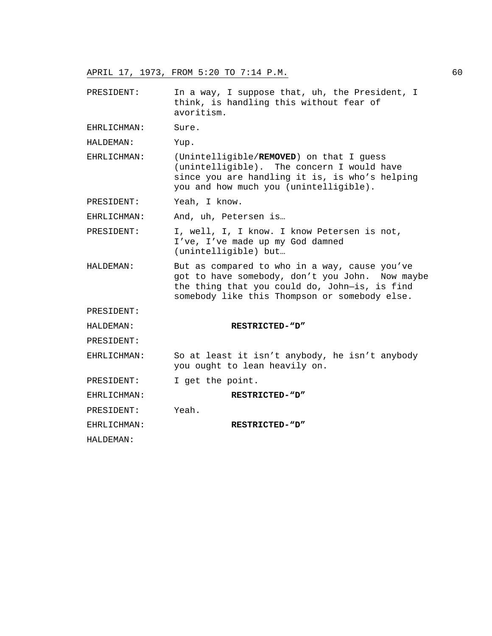PRESIDENT: In a way, I suppose that, uh, the President, I think, is handling this without fear of avoritism.

EHRLICHMAN: Sure.

HALDEMAN: Yup.

EHRLICHMAN: (Unintelligible/**REMOVED**) on that I guess (unintelligible). The concern I would have since you are handling it is, is who's helping you and how much you (unintelligible).

PRESIDENT: Yeah, I know.

EHRLICHMAN: And, uh, Petersen is…

PRESIDENT: I, well, I, I know. I know Petersen is not, I've, I've made up my God damned (unintelligible) but…

HALDEMAN: But as compared to who in a way, cause you've got to have somebody, don't you John. Now maybe the thing that you could do, John—is, is find somebody like this Thompson or somebody else.

PRESIDENT:

HALDEMAN: **RESTRICTED-"D"** PRESIDENT: EHRLICHMAN: So at least it isn't anybody, he isn't anybody you ought to lean heavily on. PRESIDENT: I get the point. EHRLICHMAN: **RESTRICTED-"D"**

PRESIDENT: Yeah.

EHRLICHMAN: **RESTRICTED-"D"**

HALDEMAN: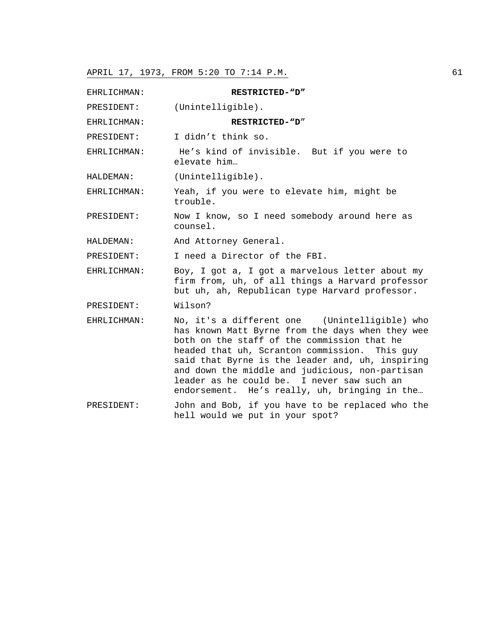| EHRLICHMAN: | RESTRICTED-"D"                                                                                                                                                                                                                                                                                                                                                                                          |
|-------------|---------------------------------------------------------------------------------------------------------------------------------------------------------------------------------------------------------------------------------------------------------------------------------------------------------------------------------------------------------------------------------------------------------|
| PRESIDENT:  | (Unintelligible).                                                                                                                                                                                                                                                                                                                                                                                       |
| EHRLICHMAN: | RESTRICTED-"D"                                                                                                                                                                                                                                                                                                                                                                                          |
| PRESIDENT:  | I didn't think so.                                                                                                                                                                                                                                                                                                                                                                                      |
| EHRLICHMAN: | He's kind of invisible. But if you were to<br>elevate him                                                                                                                                                                                                                                                                                                                                               |
| HALDEMAN:   | (Unintelligible).                                                                                                                                                                                                                                                                                                                                                                                       |
| EHRLICHMAN: | Yeah, if you were to elevate him, might be<br>trouble.                                                                                                                                                                                                                                                                                                                                                  |
| PRESIDENT:  | Now I know, so I need somebody around here as<br>counsel.                                                                                                                                                                                                                                                                                                                                               |
| HALDEMAN:   | And Attorney General.                                                                                                                                                                                                                                                                                                                                                                                   |
| PRESIDENT:  | I need a Director of the FBI.                                                                                                                                                                                                                                                                                                                                                                           |
| EHRLICHMAN: | Boy, I got a, I got a marvelous letter about my<br>firm from, uh, of all things a Harvard professor<br>but uh, ah, Republican type Harvard professor.                                                                                                                                                                                                                                                   |
| PRESIDENT:  | Wilson?                                                                                                                                                                                                                                                                                                                                                                                                 |
| EHRLICHMAN: | No, it's a different one (Unintelligible) who<br>has known Matt Byrne from the days when they wee<br>both on the staff of the commission that he<br>headed that uh, Scranton commission. This guy<br>said that Byrne is the leader and, uh, inspiring<br>and down the middle and judicious, non-partisan<br>leader as he could be. I never saw such an<br>endorsement. He's really, uh, bringing in the |
| PRESIDENT:  | John and Bob, if you have to be replaced who the<br>hell would we put in your spot?                                                                                                                                                                                                                                                                                                                     |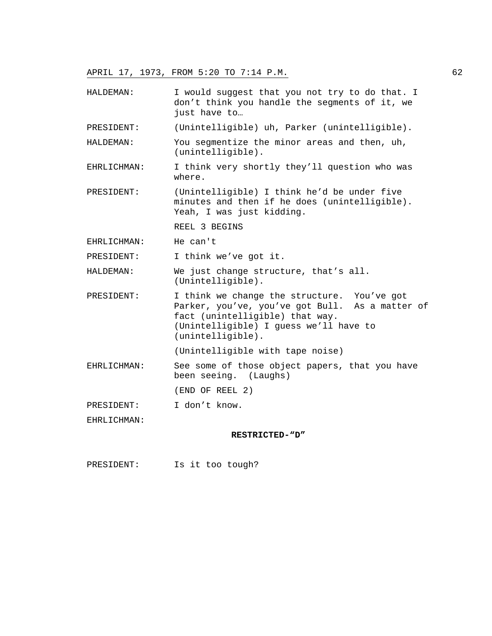HALDEMAN: I would suggest that you not try to do that. I don't think you handle the segments of it, we just have to… PRESIDENT: (Unintelligible) uh, Parker (unintelligible). HALDEMAN: You segmentize the minor areas and then, uh, (unintelligible). EHRLICHMAN: I think very shortly they'll question who was where. PRESIDENT: (Unintelligible) I think he'd be under five minutes and then if he does (unintelligible). Yeah, I was just kidding. REEL 3 BEGINS EHRLICHMAN: He can't PRESIDENT: I think we've got it. HALDEMAN: We just change structure, that's all. (Unintelligible). PRESIDENT: I think we change the structure. You've got Parker, you've, you've got Bull. As a matter of fact (unintelligible) that way. (Unintelligible) I guess we'll have to (unintelligible). (Unintelligible with tape noise) EHRLICHMAN: See some of those object papers, that you have been seeing. (Laughs) (END OF REEL 2) PRESIDENT: I don't know. EHRLICHMAN: **RESTRICTED-"D"** 

PRESIDENT: Is it too tough?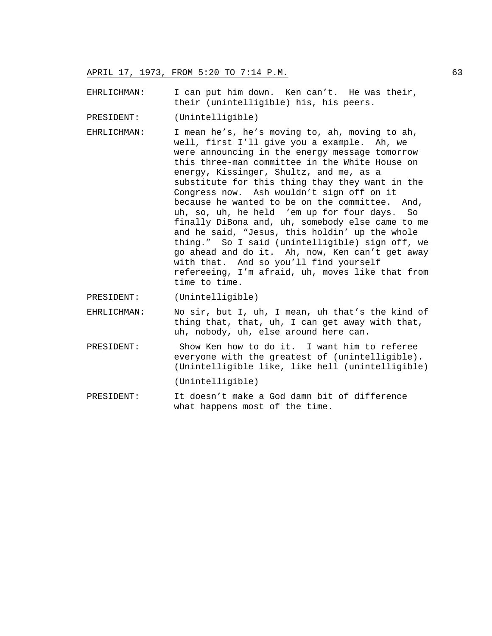EHRLICHMAN: I can put him down. Ken can't. He was their, their (unintelligible) his, his peers.

PRESIDENT: (Unintelligible)

- EHRLICHMAN: I mean he's, he's moving to, ah, moving to ah, well, first I'll give you a example. Ah, we were announcing in the energy message tomorrow this three-man committee in the White House on energy, Kissinger, Shultz, and me, as a substitute for this thing thay they want in the Congress now. Ash wouldn't sign off on it because he wanted to be on the committee. And, uh, so, uh, he held 'em up for four days. So finally DiBona and, uh, somebody else came to me and he said, "Jesus, this holdin' up the whole thing." So I said (unintelligible) sign off, we go ahead and do it. Ah, now, Ken can't get away with that. And so you'll find yourself refereeing, I'm afraid, uh, moves like that from time to time.
- PRESIDENT: (Unintelligible)
- EHRLICHMAN: No sir, but I, uh, I mean, uh that's the kind of thing that, that, uh, I can get away with that, uh, nobody, uh, else around here can.
- PRESIDENT: Show Ken how to do it. I want him to referee everyone with the greatest of (unintelligible). (Unintelligible like, like hell (unintelligible) (Unintelligible)
- PRESIDENT: It doesn't make a God damn bit of difference what happens most of the time.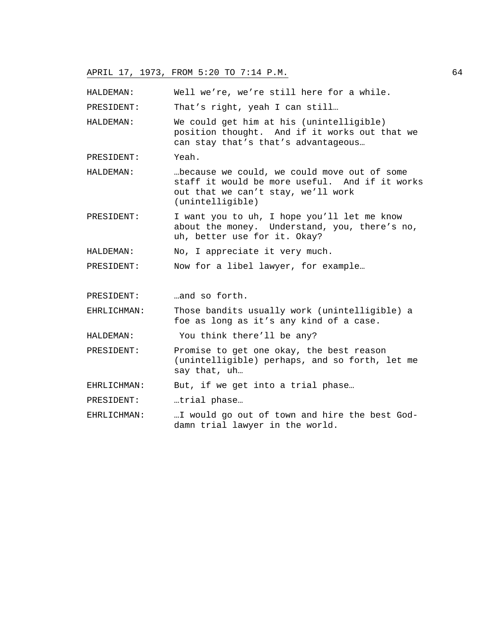HALDEMAN: Well we're, we're still here for a while.

PRESIDENT: That's right, yeah I can still...

HALDEMAN: We could get him at his (unintelligible) position thought. And if it works out that we can stay that's that's advantageous…

- PRESIDENT: Yeah.
- HALDEMAN: …because we could, we could move out of some staff it would be more useful. And if it works out that we can't stay, we'll work (unintelligible)
- PRESIDENT: I want you to uh, I hope you'll let me know about the money. Understand, you, there's no, uh, better use for it. Okay?

HALDEMAN: No, I appreciate it very much.

PRESIDENT: Now for a libel lawyer, for example…

PRESIDENT: …and so forth.

EHRLICHMAN: Those bandits usually work (unintelligible) a foe as long as it's any kind of a case.

HALDEMAN: You think there'll be any?

PRESIDENT: Promise to get one okay, the best reason (unintelligible) perhaps, and so forth, let me say that, uh…

EHRLICHMAN: But, if we get into a trial phase…

PRESIDENT: …trial phase…

EHRLICHMAN: …I would go out of town and hire the best Goddamn trial lawyer in the world.